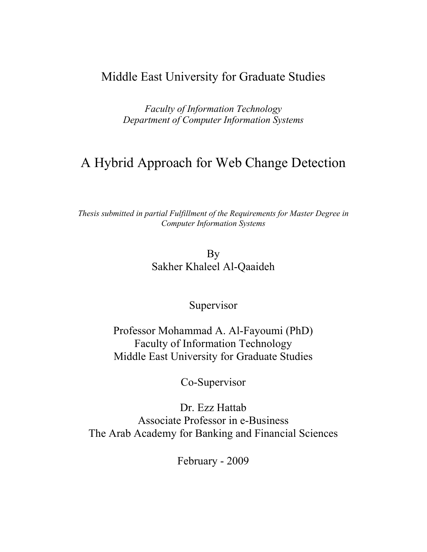# Middle East University for Graduate Studies

*Faculty of Information Technology Department of Computer Information Systems*

# A Hybrid Approach for Web Change Detection

*Thesis submitted in partial Fulfillment of the Requirements for Master Degree in Computer Information Systems*

> By Sakher Khaleel Al-Qaaideh

#### Supervisor

Professor Mohammad A. Al-Fayoumi (PhD) Faculty of Information Technology Middle East University for Graduate Studies

Co-Supervisor

Dr. Ezz Hattab Associate Professor in e-Business The Arab Academy for Banking and Financial Sciences

February - 2009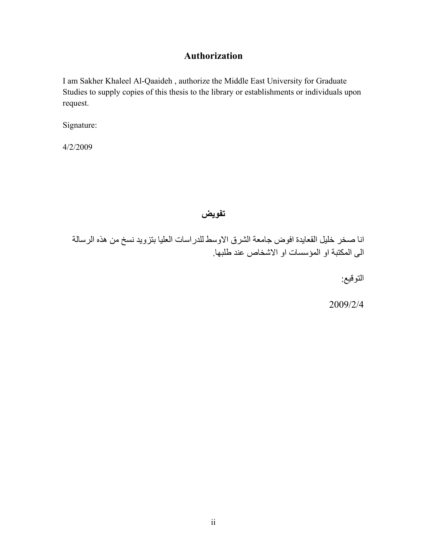#### **Authorization**

I am Sakher Khaleel Al-Qaaideh , authorize the Middle East University for Graduate Studies to supply copies of this thesis to the library or establishments or individuals upon request.

Signature:

4/2/2009

**تفویض**

انا صخر خلیل القعایدة افوض جامعة الشرق الاوسط للدراسات العلیا بتزوید نسخ من ھذه الرسالة الى المكتبة او المؤسسات او الاشخاص عند طلبھا.

التوقیع:

2009/2/4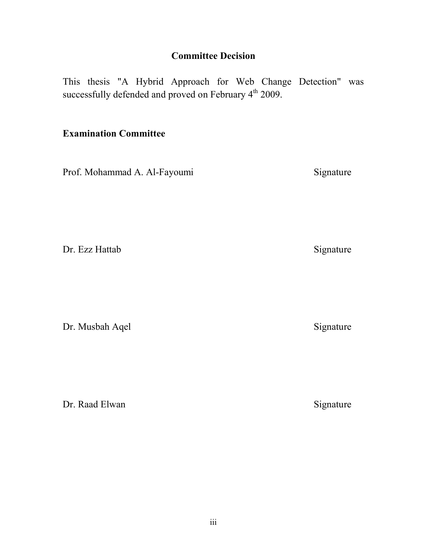# **Committee Decision**

This thesis "A Hybrid Approach for Web Change Detection" was successfully defended and proved on February 4<sup>th</sup> 2009.

### **Examination Committee**

Prof. Mohammad A. Al-Fayoumi Signature

Dr. Ezz Hattab Signature

Dr. Musbah Aqel Signature

Dr. Raad Elwan Signature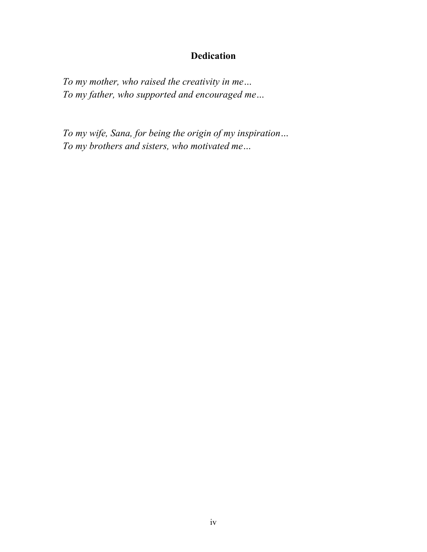# **Dedication**

*To my mother, who raised the creativity in me… To my father, who supported and encouraged me…*

*To my wife, Sana, for being the origin of my inspiration… To my brothers and sisters, who motivated me…*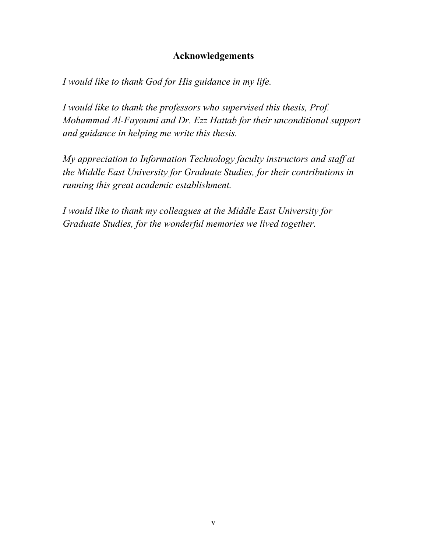#### **Acknowledgements**

*I would like to thank God for His guidance in my life.*

*I would like to thank the professors who supervised this thesis, Prof. Mohammad Al-Fayoumi and Dr. Ezz Hattab for their unconditional support and guidance in helping me write this thesis.*

*My appreciation to Information Technology faculty instructors and staff at the Middle East University for Graduate Studies, for their contributions in running this great academic establishment.*

*I would like to thank my colleagues at the Middle East University for Graduate Studies, for the wonderful memories we lived together.*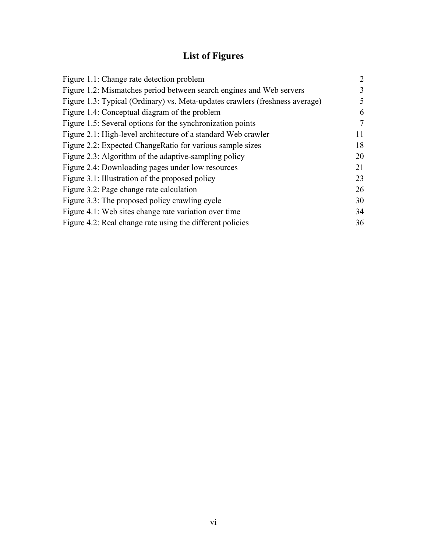# **List of Figures**

| Figure 1.1: Change rate detection problem                                    | 2  |
|------------------------------------------------------------------------------|----|
| Figure 1.2: Mismatches period between search engines and Web servers         | 3  |
| Figure 1.3: Typical (Ordinary) vs. Meta-updates crawlers (freshness average) | 5  |
| Figure 1.4: Conceptual diagram of the problem                                | 6  |
| Figure 1.5: Several options for the synchronization points                   | 7  |
| Figure 2.1: High-level architecture of a standard Web crawler                | 11 |
| Figure 2.2: Expected ChangeRatio for various sample sizes                    | 18 |
| Figure 2.3: Algorithm of the adaptive-sampling policy                        | 20 |
| Figure 2.4: Downloading pages under low resources                            | 21 |
| Figure 3.1: Illustration of the proposed policy                              | 23 |
| Figure 3.2: Page change rate calculation                                     | 26 |
| Figure 3.3: The proposed policy crawling cycle                               | 30 |
| Figure 4.1: Web sites change rate variation over time                        | 34 |
| Figure 4.2: Real change rate using the different policies                    | 36 |
|                                                                              |    |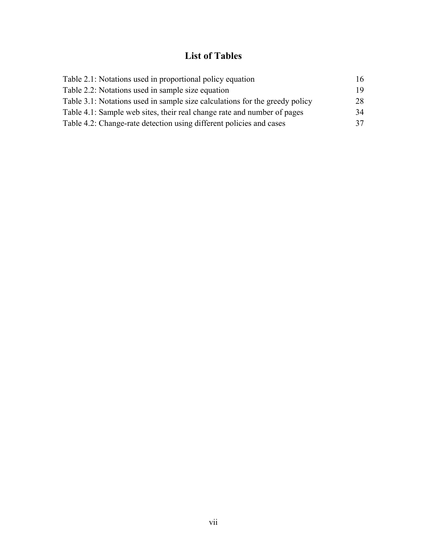# **List of Tables**

| 16 |
|----|
| 19 |
| 28 |
| 34 |
| 37 |
|    |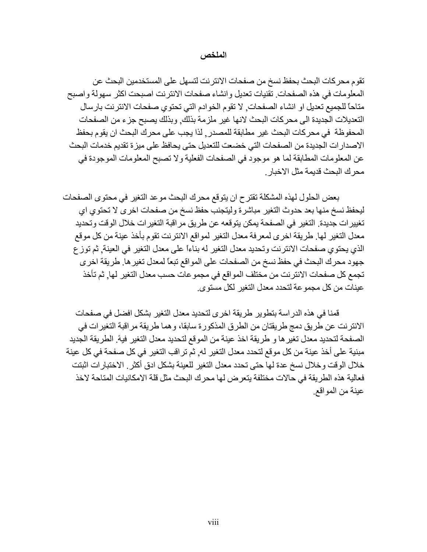#### **الملخص**

تقوم محركات البحث بحفظ نسخ من صفحات الانترنت لتسھل على المستخدمین البحث عن المعلومات في ھذه الصفحات. تقنیات تعدیل وانشاء صفحات الانترنت اصبحت اكثر سھولة واصبح متاحاً للجمیع تعدیل او انشاء الصفحات, لا تقوم الخوادم التي تحتوي صفحات الانترنت بارسال التعدیلات الجدیدة الى محركات البحث لانھا غیر ملزمة بذلك, وبذلك یصبح جزء من الصفحات المحفوظة في محركات البحث غیر مطابقة للمصدر, الذ یجب على محرك البحث ان یقوم بحفظ الاصدارات الجدیدة من الصفحات التي خضعت للتعدیل حتى یحافظ على میزة تقدیم خدمات البحث عن المعلومات المطابقة لما ھو موجود في الصفحات الفعلیة ولا تصبح المعلومات الموجودة في محرك البحث قدیمة مثل الاخبار.

بعض الحلول لھذه المشكلة تقترح ان یتوقع محرك البحث موعد التغیر في محتوى الصفحات لیحفظ نسخ منھا بعد حدوث التغیر مباشرة ولیتجنب حفظ نسخ من صفحات اخرى لا تحتوي اي تغییرات جدیدة. التغیر في الصفحة یمكن یتوقعھ عن طریق مراقبة التغیرات خلال الوقت وتحدید معدل التغیر لھا. طریقة اخرى لمعرفة معدل التغیر لمواقع الانترنت تقوم بأخذ عینة من كل موقع الذي یحتوي صفحات الانترنت وتحدید معدل التغیر لھ بناءاً على معدل التغیر في العینة, ثم توزع جھود محرك البحث في حفظ نسخ من الصفحات على المواقع تبعاً لمعدل تغیرھا. طریقة اخرى تجمع كل صفحات الانترنت من مختلف المواقع في مجموعات حسب معدل التغیر لھا, ثم تأخذ عینات من كل مجموعة لتحدد معدل التغیر لكل مستوى.

قمنا في ھذه الدراسة بتطویر طریقة اخرى لتحدید معدل التغیر بشكل افضل في صفحات الانترنت عن طریق دمج طریقتان من الطرق المذكورة سابقا، وھما طریقة مراقبة التغیرات في الصفحة لتحدید معدل تغیرھا و طریقة اخذ عینة من الموقع لتحدید معدل التغیر فیھ.ً الطریقة الجدید مبنیة على أخذ عینة من كل موقع لتحدد معدل التغیر لھ, ثم تراقب التغیر في كل صفحة في كل عینة خلال الوقت وخلال نسخ عدة لھا حتى تحدد معدل التغیر للعینة بشكل ادق أكثر. الاختبارات اثبتت فعالیة ھذه الطریقة في حالات مختلفة یتعرض لھا محرك البحث مثل قلة الامكانیات المتاحة لاخذ عینة من المواقع.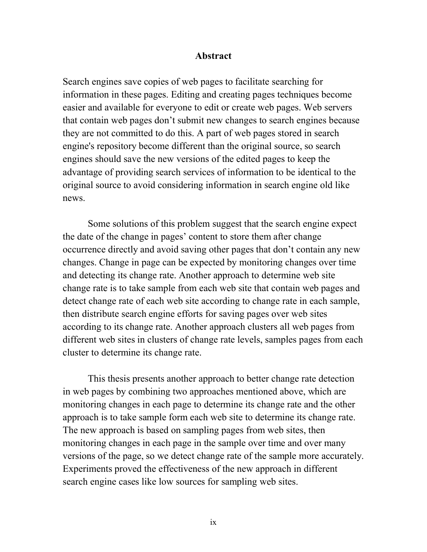#### **Abstract**

Search engines save copies of web pages to facilitate searching for information in these pages. Editing and creating pages techniques become easier and available for everyone to edit or create web pages. Web servers that contain web pages don't submit new changes to search engines because they are not committed to do this. A part of web pages stored in search engine's repository become different than the original source, so search engines should save the new versions of the edited pages to keep the advantage of providing search services of information to be identical to the original source to avoid considering information in search engine old like news.

Some solutions of this problem suggest that the search engine expect the date of the change in pages' content to store them after change occurrence directly and avoid saving other pages that don't contain any new changes. Change in page can be expected by monitoring changes over time and detecting its change rate. Another approach to determine web site change rate is to take sample from each web site that contain web pages and detect change rate of each web site according to change rate in each sample, then distribute search engine efforts for saving pages over web sites according to its change rate. Another approach clusters all web pages from different web sites in clusters of change rate levels, samples pages from each cluster to determine its change rate.

This thesis presents another approach to better change rate detection in web pages by combining two approaches mentioned above, which are monitoring changes in each page to determine its change rate and the other approach is to take sample form each web site to determine its change rate. The new approach is based on sampling pages from web sites, then monitoring changes in each page in the sample over time and over many versions of the page, so we detect change rate of the sample more accurately. Experiments proved the effectiveness of the new approach in different search engine cases like low sources for sampling web sites.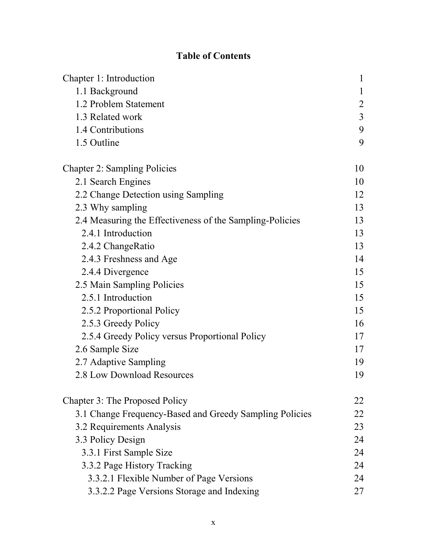# **Table of Contents**

| Chapter 1: Introduction                                  | $\mathbf{1}$   |
|----------------------------------------------------------|----------------|
| 1.1 Background                                           | 1              |
| 1.2 Problem Statement                                    | $\overline{2}$ |
| 1.3 Related work                                         | $\overline{3}$ |
| 1.4 Contributions                                        | 9              |
| 1.5 Outline                                              | 9              |
| <b>Chapter 2: Sampling Policies</b>                      | 10             |
| 2.1 Search Engines                                       | 10             |
| 2.2 Change Detection using Sampling                      | 12             |
| 2.3 Why sampling                                         | 13             |
| 2.4 Measuring the Effectiveness of the Sampling-Policies | 13             |
| 2.4.1 Introduction                                       | 13             |
| 2.4.2 ChangeRatio                                        | 13             |
| 2.4.3 Freshness and Age                                  | 14             |
| 2.4.4 Divergence                                         | 15             |
| 2.5 Main Sampling Policies                               | 15             |
| 2.5.1 Introduction                                       | 15             |
| 2.5.2 Proportional Policy                                | 15             |
| 2.5.3 Greedy Policy                                      | 16             |
| 2.5.4 Greedy Policy versus Proportional Policy           | 17             |
| 2.6 Sample Size                                          | 17             |
| 2.7 Adaptive Sampling                                    | 19             |
| 2.8 Low Download Resources                               | 19             |
| Chapter 3: The Proposed Policy                           | 22             |
| 3.1 Change Frequency-Based and Greedy Sampling Policies  | 22             |
| 3.2 Requirements Analysis                                | 23             |
| 3.3 Policy Design                                        | 24             |
| 3.3.1 First Sample Size                                  | 24             |
| 3.3.2 Page History Tracking                              | 24             |
| 3.3.2.1 Flexible Number of Page Versions                 | 24             |
| 3.3.2.2 Page Versions Storage and Indexing               | 27             |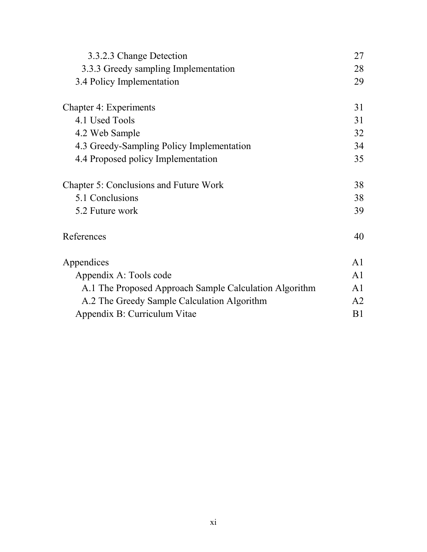| 3.3.2.3 Change Detection                               | 27             |
|--------------------------------------------------------|----------------|
| 3.3.3 Greedy sampling Implementation                   | 28             |
| 3.4 Policy Implementation                              | 29             |
| <b>Chapter 4: Experiments</b>                          | 31             |
| 4.1 Used Tools                                         | 31             |
| 4.2 Web Sample                                         | 32             |
| 4.3 Greedy-Sampling Policy Implementation              | 34             |
| 4.4 Proposed policy Implementation                     | 35             |
| <b>Chapter 5: Conclusions and Future Work</b>          | 38             |
| 5.1 Conclusions                                        | 38             |
| 5.2 Future work                                        | 39             |
| References                                             | 40             |
| Appendices                                             | A <sub>1</sub> |
| Appendix A: Tools code                                 | A <sub>1</sub> |
| A.1 The Proposed Approach Sample Calculation Algorithm | A <sub>1</sub> |
| A.2 The Greedy Sample Calculation Algorithm            | A <sub>2</sub> |
| Appendix B: Curriculum Vitae                           | B <sub>1</sub> |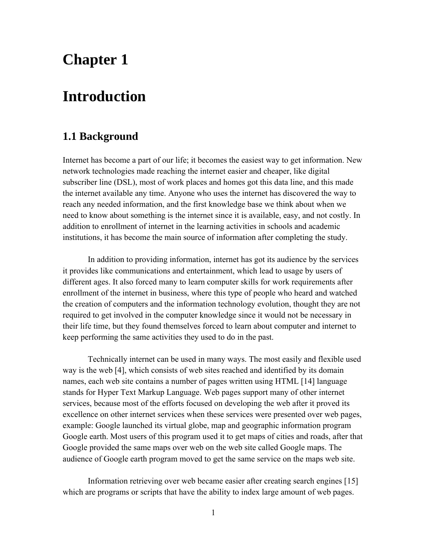# **Chapter 1**

# **Introduction**

# **1.1 Background**

Internet has become a part of our life; it becomes the easiest way to get information. New network technologies made reaching the internet easier and cheaper, like digital subscriber line (DSL), most of work places and homes got this data line, and this made the internet available any time. Anyone who uses the internet has discovered the way to reach any needed information, and the first knowledge base we think about when we need to know about something is the internet since it is available, easy, and not costly. In addition to enrollment of internet in the learning activities in schools and academic institutions, it has become the main source of information after completing the study.

In addition to providing information, internet has got its audience by the services it provides like communications and entertainment, which lead to usage by users of different ages. It also forced many to learn computer skills for work requirements after enrollment of the internet in business, where this type of people who heard and watched the creation of computers and the information technology evolution, thought they are not required to get involved in the computer knowledge since it would not be necessary in their life time, but they found themselves forced to learn about computer and internet to keep performing the same activities they used to do in the past.

Technically internet can be used in many ways. The most easily and flexible used way is the web [4], which consists of web sites reached and identified by its domain names, each web site contains a number of pages written using HTML [14] language stands for Hyper Text Markup Language. Web pages support many of other internet services, because most of the efforts focused on developing the web after it proved its excellence on other internet services when these services were presented over web pages, example: Google launched its virtual globe, map and geographic information program Google earth. Most users of this program used it to get maps of cities and roads, after that Google provided the same maps over web on the web site called Google maps. The audience of Google earth program moved to get the same service on the maps web site.

Information retrieving over web became easier after creating search engines [15] which are programs or scripts that have the ability to index large amount of web pages.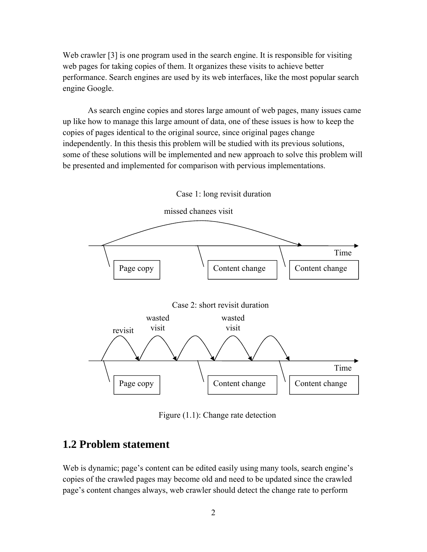Web crawler [3] is one program used in the search engine. It is responsible for visiting web pages for taking copies of them. It organizes these visits to achieve better performance. Search engines are used by its web interfaces, like the most popular search engine Google.

As search engine copies and stores large amount of web pages, many issues came up like how to manage this large amount of data, one of these issues is how to keep the copies of pages identical to the original source, since original pages change independently. In this thesis this problem will be studied with its previous solutions, some of these solutions will be implemented and new approach to solve this problem will be presented and implemented for comparison with pervious implementations.



Figure (1.1): Change rate detection

# **1.2 Problem statement**

Web is dynamic; page's content can be edited easily using many tools, search engine's copies of the crawled pages may become old and need to be updated since the crawled page's content changes always, web crawler should detect the change rate to perform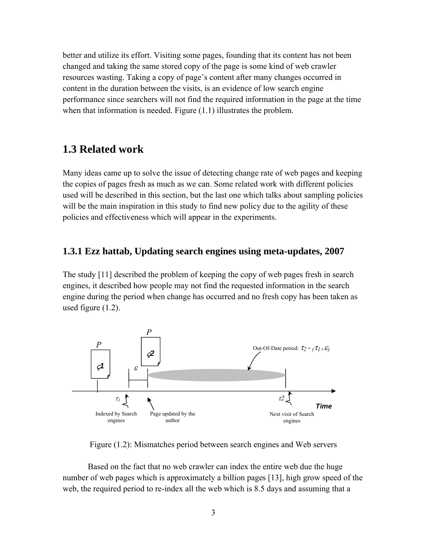better and utilize its effort. Visiting some pages, founding that its content has not been changed and taking the same stored copy of the page is some kind of web crawler resources wasting. Taking a copy of page's content after many changes occurred in content in the duration between the visits, is an evidence of low search engine performance since searchers will not find the required information in the page at the time when that information is needed. Figure  $(1.1)$  illustrates the problem.

#### **1.3 Related work**

Many ideas came up to solve the issue of detecting change rate of web pages and keeping the copies of pages fresh as much as we can. Some related work with different policies used will be described in this section, but the last one which talks about sampling policies will be the main inspiration in this study to find new policy due to the agility of these policies and effectiveness which will appear in the experiments.

#### **1.3.1 Ezz hattab, Updating search engines using meta-updates, 2007**

The study [11] described the problem of keeping the copy of web pages fresh in search engines, it described how people may not find the requested information in the search engine during the period when change has occurred and no fresh copy has been taken as used figure (1.2).



Figure (1.2): Mismatches period between search engines and Web servers

Based on the fact that no web crawler can index the entire web due the huge number of web pages which is approximately a billion pages [13], high grow speed of the web, the required period to re-index all the web which is 8.5 days and assuming that a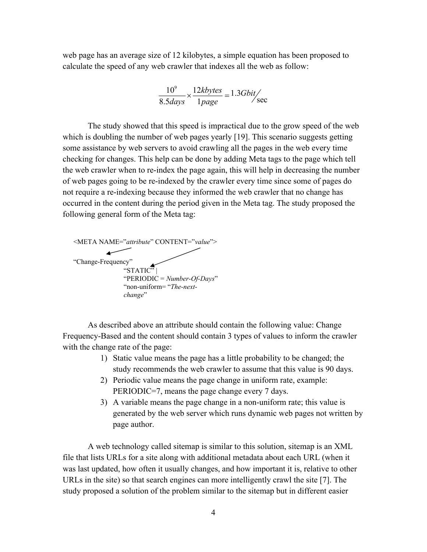web page has an average size of 12 kilobytes, a simple equation has been proposed to calculate the speed of any web crawler that indexes all the web as follow:

$$
\frac{10^9}{8.5 days} \times \frac{12 kbytes}{1 page} = 1.3 Gbit/sec
$$

The study showed that this speed is impractical due to the grow speed of the web which is doubling the number of web pages yearly [19]. This scenario suggests getting some assistance by web servers to avoid crawling all the pages in the web every time checking for changes. This help can be done by adding Meta tags to the page which tell the web crawler when to re-index the page again, this will help in decreasing the number of web pages going to be re-indexed by the crawler every time since some of pages do not require a re-indexing because they informed the web crawler that no change has occurred in the content during the period given in the Meta tag. The study proposed the following general form of the Meta tag:



As described above an attribute should contain the following value: Change Frequency-Based and the content should contain 3 types of values to inform the crawler with the change rate of the page:

- 1) Static value means the page has a little probability to be changed; the study recommends the web crawler to assume that this value is 90 days.
- 2) Periodic value means the page change in uniform rate, example: PERIODIC=7, means the page change every 7 days.
- 3) A variable means the page change in a non-uniform rate; this value is generated by the web server which runs dynamic web pages not written by page author.

A web technology called sitemap is similar to this solution, sitemap is an XML file that lists URLs for a site along with additional metadata about each URL (when it was last updated, how often it usually changes, and how important it is, relative to other URLs in the site) so that search engines can more intelligently crawl the site [7]. The study proposed a solution of the problem similar to the sitemap but in different easier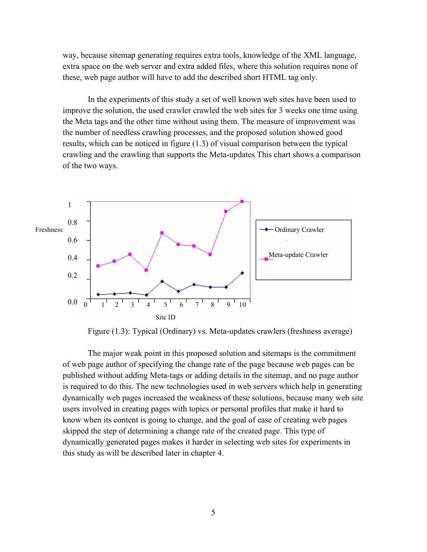way, because sitemap generating requires extra tools, knowledge of the XML language, extra space on the web server and extra added files, where this solution requires none of these, web page author will have to add the described short HTML tag only.

In the experiments of this study a set of well known web sites have been used to improve the solution, the used crawler crawled the web sites for 3 weeks one time using the Meta tags and the other time without using them. The measure of improvement was the number of needless crawling processes, and the proposed solution showed good results, which can be noticed in figure (1.3) of visual comparison between the typical crawling and the crawling that supports the Meta-updates This chart shows a comparison of the two ways.



Figure (1.3): Typical (Ordinary) vs. Meta-updates crawlers (freshness average)

The major weak point in this proposed solution and sitemaps is the commitment of web page author of specifying the change rate of the page because web pages can be published without adding Meta-tags or adding details in the sitemap, and no page author is required to do this. The new technologies used in web servers which help in generating dynamically web pages increased the weakness of these solutions, because many web site users involved in creating pages with topics or personal profiles that make it hard to know when its content is going to change, and the goal of ease of creating web pages skipped the step of determining a change rate of the created page. This type of dynamically generated pages makes it harder in selecting web sites for experiments in this study as will be described later in chapter 4.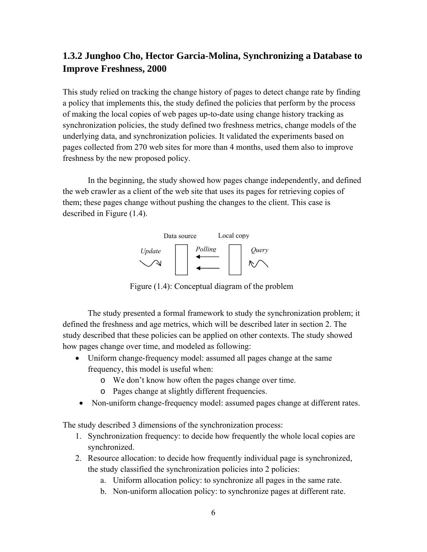### **1.3.2 Junghoo Cho, Hector Garcia-Molina, Synchronizing a Database to Improve Freshness, 2000**

This study relied on tracking the change history of pages to detect change rate by finding a policy that implements this, the study defined the policies that perform by the process of making the local copies of web pages up-to-date using change history tracking as synchronization policies, the study defined two freshness metrics, change models of the underlying data, and synchronization policies. It validated the experiments based on pages collected from 270 web sites for more than 4 months, used them also to improve freshness by the new proposed policy.

In the beginning, the study showed how pages change independently, and defined the web crawler as a client of the web site that uses its pages for retrieving copies of them; these pages change without pushing the changes to the client. This case is described in Figure (1.4).



Figure (1.4): Conceptual diagram of the problem

The study presented a formal framework to study the synchronization problem; it defined the freshness and age metrics, which will be described later in section 2. The study described that these policies can be applied on other contexts. The study showed how pages change over time, and modeled as following:

- Uniform change-frequency model: assumed all pages change at the same frequency, this model is useful when:
	- o We don't know how often the pages change over time.
	- o Pages change at slightly different frequencies.
- Non-uniform change-frequency model: assumed pages change at different rates.

The study described 3 dimensions of the synchronization process:

- 1. Synchronization frequency: to decide how frequently the whole local copies are synchronized.
- 2. Resource allocation: to decide how frequently individual page is synchronized, the study classified the synchronization policies into 2 policies:
	- a. Uniform allocation policy: to synchronize all pages in the same rate.
	- b. Non-uniform allocation policy: to synchronize pages at different rate.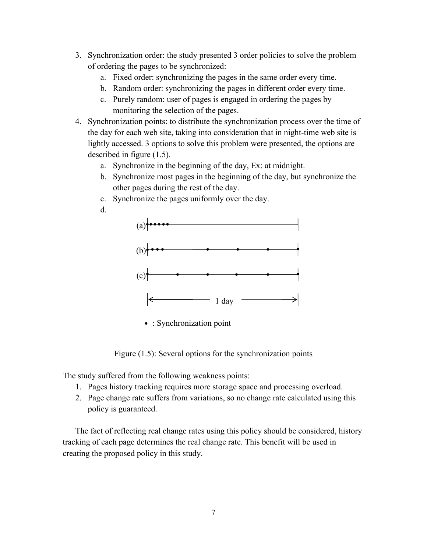- 3. Synchronization order: the study presented 3 order policies to solve the problem of ordering the pages to be synchronized:
	- a. Fixed order: synchronizing the pages in the same order every time.
	- b. Random order: synchronizing the pages in different order every time.
	- c. Purely random: user of pages is engaged in ordering the pages by monitoring the selection of the pages.
- 4. Synchronization points: to distribute the synchronization process over the time of the day for each web site, taking into consideration that in night-time web site is lightly accessed. 3 options to solve this problem were presented, the options are described in figure (1.5).
	- a. Synchronize in the beginning of the day, Ex: at midnight.
	- b. Synchronize most pages in the beginning of the day, but synchronize the other pages during the rest of the day.
	- c. Synchronize the pages uniformly over the day.
	- d.



• : Synchronization point

Figure (1.5): Several options for the synchronization points

The study suffered from the following weakness points:

- 1. Pages history tracking requires more storage space and processing overload.
- 2. Page change rate suffers from variations, so no change rate calculated using this policy is guaranteed.

The fact of reflecting real change rates using this policy should be considered, history tracking of each page determines the real change rate. This benefit will be used in creating the proposed policy in this study.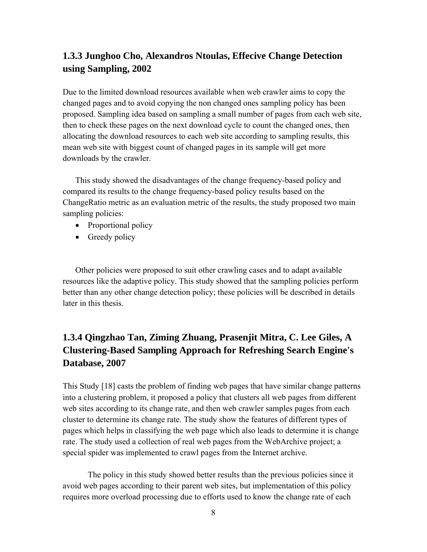### **1.3.3 Junghoo Cho, Alexandros Ntoulas, Effecive Change Detection using Sampling, 2002**

Due to the limited download resources available when web crawler aims to copy the changed pages and to avoid copying the non changed ones sampling policy has been proposed. Sampling idea based on sampling a small number of pages from each web site, then to check these pages on the next download cycle to count the changed ones, then allocating the download resources to each web site according to sampling results, this mean web site with biggest count of changed pages in its sample will get more downloads by the crawler.

This study showed the disadvantages of the change frequency-based policy and compared its results to the change frequency-based policy results based on the ChangeRatio metric as an evaluation metric of the results, the study proposed two main sampling policies:

- Proportional policy
- Greedy policy

Other policies were proposed to suit other crawling cases and to adapt available resources like the adaptive policy. This study showed that the sampling policies perform better than any other change detection policy; these policies will be described in details later in this thesis.

### **1.3.4 Qingzhao Tan, Ziming Zhuang, Prasenjit Mitra, C. Lee Giles, A Clustering-Based Sampling Approach for Refreshing Search Engine's Database, 2007**

This Study [18] casts the problem of finding web pages that have similar change patterns into a clustering problem, it proposed a policy that clusters all web pages from different web sites according to its change rate, and then web crawler samples pages from each cluster to determine its change rate. The study show the features of different types of pages which helps in classifying the web page which also leads to determine it is change rate. The study used a collection of real web pages from the WebArchive project; a special spider was implemented to crawl pages from the Internet archive.

The policy in this study showed better results than the previous policies since it avoid web pages according to their parent web sites, but implementation of this policy requires more overload processing due to efforts used to know the change rate of each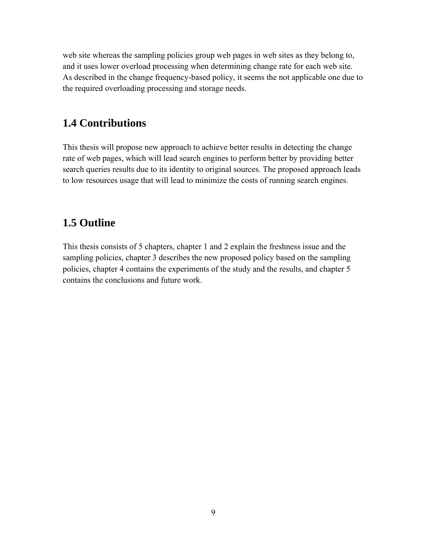web site whereas the sampling policies group web pages in web sites as they belong to, and it uses lower overload processing when determining change rate for each web site. As described in the change frequency-based policy, it seems the not applicable one due to the required overloading processing and storage needs.

### **1.4 Contributions**

This thesis will propose new approach to achieve better results in detecting the change rate of web pages, which will lead search engines to perform better by providing better search queries results due to its identity to original sources. The proposed approach leads to low resources usage that will lead to minimize the costs of running search engines.

### **1.5 Outline**

This thesis consists of 5 chapters, chapter 1 and 2 explain the freshness issue and the sampling policies, chapter 3 describes the new proposed policy based on the sampling policies, chapter 4 contains the experiments of the study and the results, and chapter 5 contains the conclusions and future work.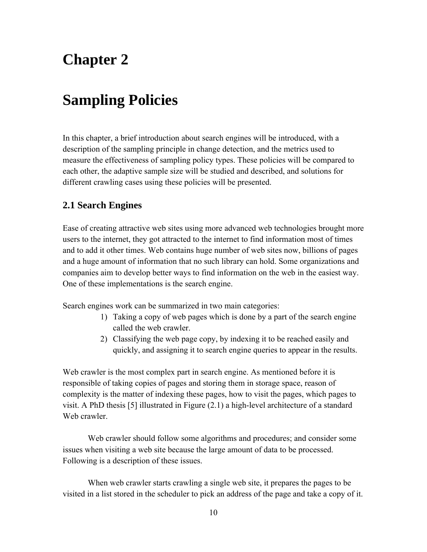# **Chapter 2**

# **Sampling Policies**

In this chapter, a brief introduction about search engines will be introduced, with a description of the sampling principle in change detection, and the metrics used to measure the effectiveness of sampling policy types. These policies will be compared to each other, the adaptive sample size will be studied and described, and solutions for different crawling cases using these policies will be presented.

#### **2.1 Search Engines**

Ease of creating attractive web sites using more advanced web technologies brought more users to the internet, they got attracted to the internet to find information most of times and to add it other times. Web contains huge number of web sites now, billions of pages and a huge amount of information that no such library can hold. Some organizations and companies aim to develop better ways to find information on the web in the easiest way. One of these implementations is the search engine.

Search engines work can be summarized in two main categories:

- 1) Taking a copy of web pages which is done by a part of the search engine called the web crawler.
- 2) Classifying the web page copy, by indexing it to be reached easily and quickly, and assigning it to search engine queries to appear in the results.

Web crawler is the most complex part in search engine. As mentioned before it is responsible of taking copies of pages and storing them in storage space, reason of complexity is the matter of indexing these pages, how to visit the pages, which pages to visit. A PhD thesis [5] illustrated in Figure (2.1) a high-level architecture of a standard Web crawler

Web crawler should follow some algorithms and procedures; and consider some issues when visiting a web site because the large amount of data to be processed. Following is a description of these issues.

When web crawler starts crawling a single web site, it prepares the pages to be visited in a list stored in the scheduler to pick an address of the page and take a copy of it.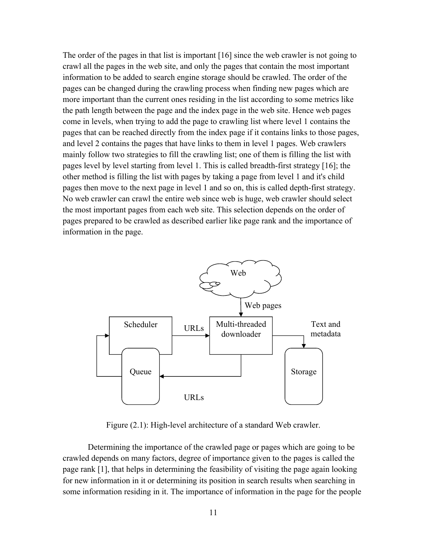The order of the pages in that list is important [16] since the web crawler is not going to crawl all the pages in the web site, and only the pages that contain the most important information to be added to search engine storage should be crawled. The order of the pages can be changed during the crawling process when finding new pages which are more important than the current ones residing in the list according to some metrics like the path length between the page and the index page in the web site. Hence web pages come in levels, when trying to add the page to crawling list where level 1 contains the pages that can be reached directly from the index page if it contains links to those pages, and level 2 contains the pages that have links to them in level 1 pages. Web crawlers mainly follow two strategies to fill the crawling list; one of them is filling the list with pages level by level starting from level 1. This is called breadth-first strategy [16]; the other method is filling the list with pages by taking a page from level 1 and it's child pages then move to the next page in level 1 and so on, this is called depth-first strategy. No web crawler can crawl the entire web since web is huge, web crawler should select the most important pages from each web site. This selection depends on the order of pages prepared to be crawled as described earlier like page rank and the importance of information in the page.



Figure (2.1): High-level architecture of a standard Web crawler.

Determining the importance of the crawled page or pages which are going to be crawled depends on many factors, degree of importance given to the pages is called the page rank [1], that helps in determining the feasibility of visiting the page again looking for new information in it or determining its position in search results when searching in some information residing in it. The importance of information in the page for the people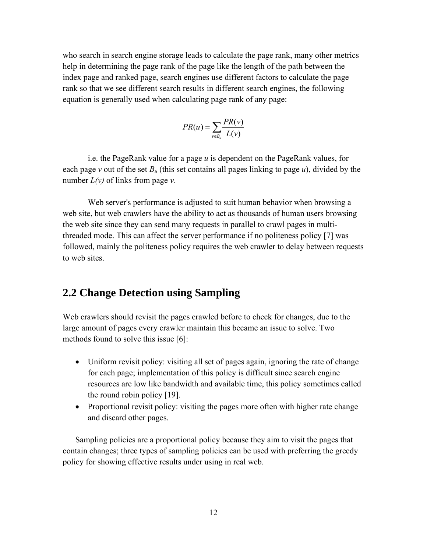who search in search engine storage leads to calculate the page rank, many other metrics help in determining the page rank of the page like the length of the path between the index page and ranked page, search engines use different factors to calculate the page rank so that we see different search results in different search engines, the following equation is generally used when calculating page rank of any page:

$$
PR(u) = \sum_{v \in B_u} \frac{PR(v)}{L(v)}
$$

i.e. the PageRank value for a page *u* is dependent on the PageRank values, for each page *v* out of the set  $B_u$  (this set contains all pages linking to page *u*), divided by the number *L(v)* of links from page *v*.

Web server's performance is adjusted to suit human behavior when browsing a web site, but web crawlers have the ability to act as thousands of human users browsing the web site since they can send many requests in parallel to crawl pages in multithreaded mode. This can affect the server performance if no politeness policy [7] was followed, mainly the politeness policy requires the web crawler to delay between requests to web sites.

#### **2.2 Change Detection using Sampling**

Web crawlers should revisit the pages crawled before to check for changes, due to the large amount of pages every crawler maintain this became an issue to solve. Two methods found to solve this issue [6]:

- Uniform revisit policy: visiting all set of pages again, ignoring the rate of change for each page; implementation of this policy is difficult since search engine resources are low like bandwidth and available time, this policy sometimes called the round robin policy [19].
- Proportional revisit policy: visiting the pages more often with higher rate change and discard other pages.

Sampling policies are a proportional policy because they aim to visit the pages that contain changes; three types of sampling policies can be used with preferring the greedy policy for showing effective results under using in real web.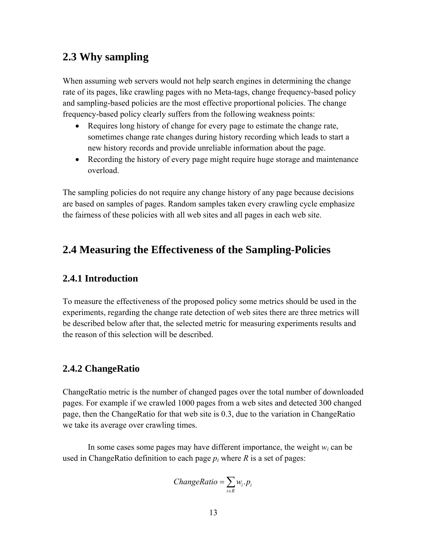### **2.3 Why sampling**

When assuming web servers would not help search engines in determining the change rate of its pages, like crawling pages with no Meta-tags, change frequency-based policy and sampling-based policies are the most effective proportional policies. The change frequency-based policy clearly suffers from the following weakness points:

- Requires long history of change for every page to estimate the change rate, sometimes change rate changes during history recording which leads to start a new history records and provide unreliable information about the page.
- Recording the history of every page might require huge storage and maintenance overload.

The sampling policies do not require any change history of any page because decisions are based on samples of pages. Random samples taken every crawling cycle emphasize the fairness of these policies with all web sites and all pages in each web site.

### **2.4 Measuring the Effectiveness of the Sampling-Policies**

#### **2.4.1 Introduction**

To measure the effectiveness of the proposed policy some metrics should be used in the experiments, regarding the change rate detection of web sites there are three metrics will be described below after that, the selected metric for measuring experiments results and the reason of this selection will be described.

#### **2.4.2 ChangeRatio**

ChangeRatio metric is the number of changed pages over the total number of downloaded pages. For example if we crawled 1000 pages from a web sites and detected 300 changed page, then the ChangeRatio for that web site is 0.3, due to the variation in ChangeRatio we take its average over crawling times.

In some cases some pages may have different importance, the weight *wi* can be used in ChangeRatio definition to each page  $p_i$  where  $R$  is a set of pages:

$$
ChangeRatio = \sum_{i \in R} w_i \cdot p_i
$$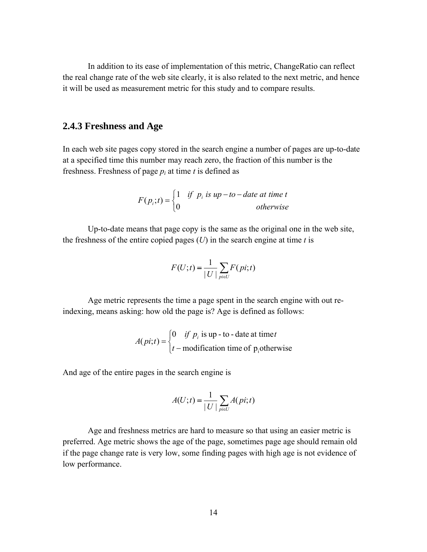In addition to its ease of implementation of this metric, ChangeRatio can reflect the real change rate of the web site clearly, it is also related to the next metric, and hence it will be used as measurement metric for this study and to compare results.

#### **2.4.3 Freshness and Age**

In each web site pages copy stored in the search engine a number of pages are up-to-date at a specified time this number may reach zero, the fraction of this number is the freshness. Freshness of page  $p_i$  at time *t* is defined as

$$
F(p_i;t) = \begin{cases} 1 & \text{if } p_i \text{ is up} - to - date at time t \\ 0 & \text{otherwise} \end{cases}
$$

Up-to-date means that page copy is the same as the original one in the web site, the freshness of the entire copied pages  $(U)$  in the search engine at time  $t$  is

$$
F(U;t) = \frac{1}{|U|} \sum_{pi \in U} F(pi;t)
$$

Age metric represents the time a page spent in the search engine with out reindexing, means asking: how old the page is? Age is defined as follows:

$$
A(pi;t) = \begin{cases} 0 & \text{if } p_i \text{ is up - to - date at time } t \\ t - \text{modification time of } p_i \text{otherwise} \end{cases}
$$

And age of the entire pages in the search engine is

$$
A(U;t) = \frac{1}{|U|} \sum_{pi \in U} A(pi;t)
$$

Age and freshness metrics are hard to measure so that using an easier metric is preferred. Age metric shows the age of the page, sometimes page age should remain old if the page change rate is very low, some finding pages with high age is not evidence of low performance.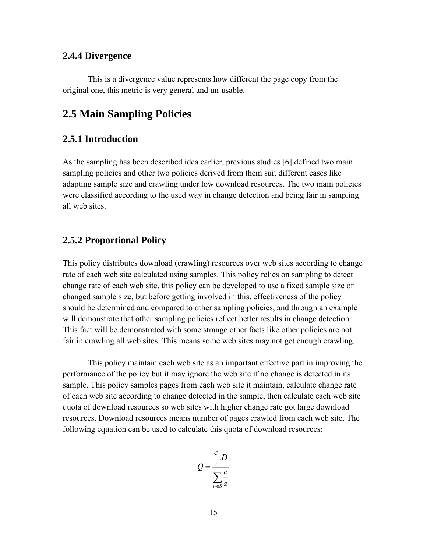#### **2.4.4 Divergence**

This is a divergence value represents how different the page copy from the original one, this metric is very general and un-usable.

### **2.5 Main Sampling Policies**

#### **2.5.1 Introduction**

As the sampling has been described idea earlier, previous studies [6] defined two main sampling policies and other two policies derived from them suit different cases like adapting sample size and crawling under low download resources. The two main policies were classified according to the used way in change detection and being fair in sampling all web sites.

#### **2.5.2 Proportional Policy**

This policy distributes download (crawling) resources over web sites according to change rate of each web site calculated using samples. This policy relies on sampling to detect change rate of each web site, this policy can be developed to use a fixed sample size or changed sample size, but before getting involved in this, effectiveness of the policy should be determined and compared to other sampling policies, and through an example will demonstrate that other sampling policies reflect better results in change detection. This fact will be demonstrated with some strange other facts like other policies are not fair in crawling all web sites. This means some web sites may not get enough crawling.

This policy maintain each web site as an important effective part in improving the performance of the policy but it may ignore the web site if no change is detected in its sample. This policy samples pages from each web site it maintain, calculate change rate of each web site according to change detected in the sample, then calculate each web site quota of download resources so web sites with higher change rate got large download resources. Download resources means number of pages crawled from each web site. The following equation can be used to calculate this quota of download resources:

$$
Q = \frac{c}{Z} \frac{D}{\sum_{w \in S} \frac{c}{Z}}
$$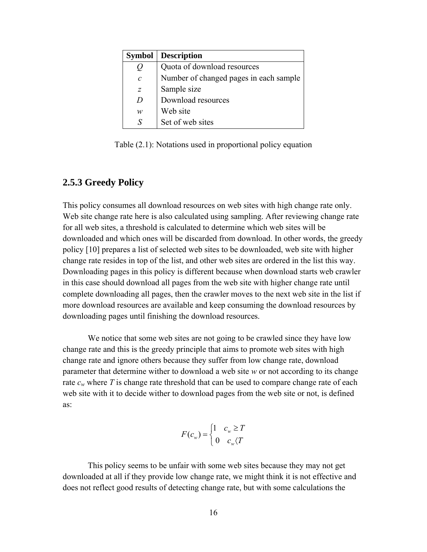| <b>Symbol</b> | <b>Description</b>                     |
|---------------|----------------------------------------|
| U             | Quota of download resources            |
| $\mathcal{C}$ | Number of changed pages in each sample |
| Ζ             | Sample size                            |
| D             | Download resources                     |
| w             | Web site                               |
| S             | Set of web sites                       |

Table (2.1): Notations used in proportional policy equation

#### **2.5.3 Greedy Policy**

This policy consumes all download resources on web sites with high change rate only. Web site change rate here is also calculated using sampling. After reviewing change rate for all web sites, a threshold is calculated to determine which web sites will be downloaded and which ones will be discarded from download. In other words, the greedy policy [10] prepares a list of selected web sites to be downloaded, web site with higher change rate resides in top of the list, and other web sites are ordered in the list this way. Downloading pages in this policy is different because when download starts web crawler in this case should download all pages from the web site with higher change rate until complete downloading all pages, then the crawler moves to the next web site in the list if more download resources are available and keep consuming the download resources by downloading pages until finishing the download resources.

We notice that some web sites are not going to be crawled since they have low change rate and this is the greedy principle that aims to promote web sites with high change rate and ignore others because they suffer from low change rate, download parameter that determine wither to download a web site *w* or not according to its change rate  $c_w$  where T is change rate threshold that can be used to compare change rate of each web site with it to decide wither to download pages from the web site or not, is defined as:

$$
F(c_w) = \begin{cases} 1 & c_w \ge T \\ 0 & c_w \langle T \rangle \end{cases}
$$

This policy seems to be unfair with some web sites because they may not get downloaded at all if they provide low change rate, we might think it is not effective and does not reflect good results of detecting change rate, but with some calculations the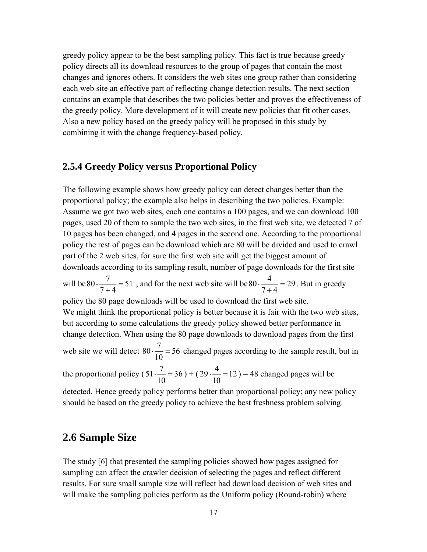greedy policy appear to be the best sampling policy. This fact is true because greedy policy directs all its download resources to the group of pages that contain the most changes and ignores others. It considers the web sites one group rather than considering each web site an effective part of reflecting change detection results. The next section contains an example that describes the two policies better and proves the effectiveness of the greedy policy. More development of it will create new policies that fit other cases. Also a new policy based on the greedy policy will be proposed in this study by combining it with the change frequency-based policy.

#### **2.5.4 Greedy Policy versus Proportional Policy**

The following example shows how greedy policy can detect changes better than the proportional policy; the example also helps in describing the two policies. Example: Assume we got two web sites, each one contains a 100 pages, and we can download 100 pages, used 20 of them to sample the two web sites, in the first web site, we detected 7 of 10 pages has been changed, and 4 pages in the second one. According to the proportional policy the rest of pages can be download which are 80 will be divided and used to crawl part of the 2 web sites, for sure the first web site will get the biggest amount of downloads according to its sampling result, number of page downloads for the first site will be  $80 \cdot \frac{1}{2} = 51$  $80 \cdot \frac{7}{7+4} = 51$ , and for the next web site will be  $80 \cdot \frac{4}{7+4} = 29$ . But in greedy policy the 80 page downloads will be used to download the first web site. We might think the proportional policy is better because it is fair with the two web sites, but according to some calculations the greedy policy showed better performance in change detection. When using the 80 page downloads to download pages from the first web site we will detect  $80 \cdot \frac{7}{10} = 56$ 10  $80 \cdot \frac{7}{10} = 56$  changed pages according to the sample result, but in the proportional policy ( $51 \cdot \frac{7}{10} = 36$ 10  $51 \cdot \frac{7}{10} = 36$ ) + (29 $\cdot \frac{4}{10} = 12$ 10  $29 \cdot \frac{4}{10} = 12$ ) = 48 changed pages will be detected. Hence greedy policy performs better than proportional policy; any new policy should be based on the greedy policy to achieve the best freshness problem solving.

### **2.6 Sample Size**

The study [6] that presented the sampling policies showed how pages assigned for sampling can affect the crawler decision of selecting the pages and reflect different results. For sure small sample size will reflect bad download decision of web sites and will make the sampling policies perform as the Uniform policy (Round-robin) where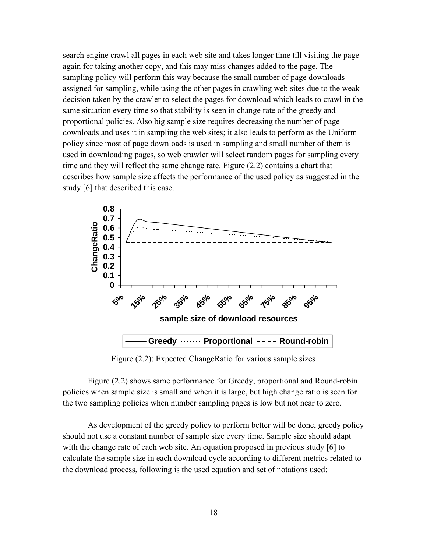search engine crawl all pages in each web site and takes longer time till visiting the page again for taking another copy, and this may miss changes added to the page. The sampling policy will perform this way because the small number of page downloads assigned for sampling, while using the other pages in crawling web sites due to the weak decision taken by the crawler to select the pages for download which leads to crawl in the same situation every time so that stability is seen in change rate of the greedy and proportional policies. Also big sample size requires decreasing the number of page downloads and uses it in sampling the web sites; it also leads to perform as the Uniform policy since most of page downloads is used in sampling and small number of them is used in downloading pages, so web crawler will select random pages for sampling every time and they will reflect the same change rate. Figure (2.2) contains a chart that describes how sample size affects the performance of the used policy as suggested in the study [6] that described this case.



Figure (2.2): Expected ChangeRatio for various sample sizes

Figure (2.2) shows same performance for Greedy, proportional and Round-robin policies when sample size is small and when it is large, but high change ratio is seen for the two sampling policies when number sampling pages is low but not near to zero.

As development of the greedy policy to perform better will be done, greedy policy should not use a constant number of sample size every time. Sample size should adapt with the change rate of each web site. An equation proposed in previous study [6] to calculate the sample size in each download cycle according to different metrics related to the download process, following is the used equation and set of notations used: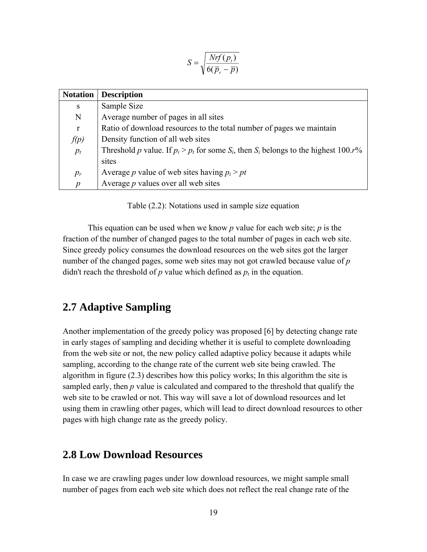$$
S = \sqrt{\frac{Nrf(p_t)}{6(\overline{p}_r - \overline{p})}}
$$

| <b>Notation</b>  | <b>Description</b>                                                                          |
|------------------|---------------------------------------------------------------------------------------------|
| S                | Sample Size                                                                                 |
| N                | Average number of pages in all sites                                                        |
| $\mathbf{r}$     | Ratio of download resources to the total number of pages we maintain                        |
| f(p)             | Density function of all web sites                                                           |
| $p_t$            | Threshold p value. If $p_i > p_t$ for some $S_i$ , then $S_i$ belongs to the highest 100.r% |
|                  | sites                                                                                       |
| $p_r$            | Average p value of web sites having $p_i > pt$                                              |
| $\boldsymbol{p}$ | Average $p$ values over all web sites                                                       |

Table (2.2): Notations used in sample size equation

This equation can be used when we know *p* value for each web site; *p* is the fraction of the number of changed pages to the total number of pages in each web site. Since greedy policy consumes the download resources on the web sites got the larger number of the changed pages, some web sites may not got crawled because value of *p* didn't reach the threshold of  $p$  value which defined as  $p_t$  in the equation.

#### **2.7 Adaptive Sampling**

Another implementation of the greedy policy was proposed [6] by detecting change rate in early stages of sampling and deciding whether it is useful to complete downloading from the web site or not, the new policy called adaptive policy because it adapts while sampling, according to the change rate of the current web site being crawled. The algorithm in figure (2.3) describes how this policy works; In this algorithm the site is sampled early, then *p* value is calculated and compared to the threshold that qualify the web site to be crawled or not. This way will save a lot of download resources and let using them in crawling other pages, which will lead to direct download resources to other pages with high change rate as the greedy policy.

#### **2.8 Low Download Resources**

In case we are crawling pages under low download resources, we might sample small number of pages from each web site which does not reflect the real change rate of the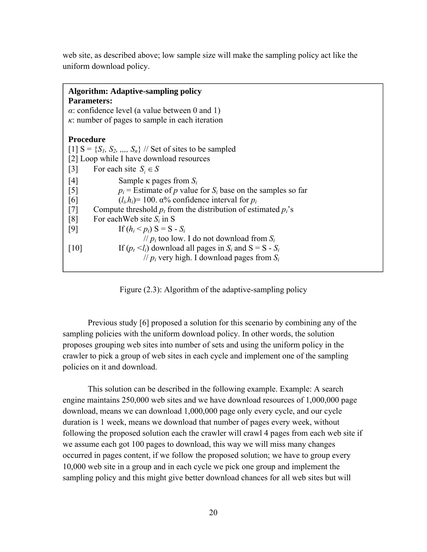web site, as described above; low sample size will make the sampling policy act like the uniform download policy.

| <b>Algorithm: Adaptive-sampling policy</b><br><b>Parameters:</b><br>$\alpha$ : confidence level (a value between 0 and 1)                                                                                             |
|-----------------------------------------------------------------------------------------------------------------------------------------------------------------------------------------------------------------------|
| $\kappa$ : number of pages to sample in each iteration                                                                                                                                                                |
| <b>Procedure</b><br>$[1]$ S = {S <sub>L</sub> , S <sub>2</sub> , ,,,, S <sub>n</sub> } // Set of sites to be sampled<br>[2] Loop while I have download resources                                                      |
| For each site $S_i \in S$<br>$\lceil 3 \rceil$                                                                                                                                                                        |
| $\lceil 4 \rceil$<br>Sample $\kappa$ pages from $S_i$<br>$p_i$ = Estimate of p value for $S_i$ base on the samples so far<br>$\lceil 5 \rceil$<br>$(l_i, h_i)$ = 100. $\alpha$ % confidence interval for $p_i$<br>[6] |
| Compute threshold $p_t$ from the distribution of estimated $p_t$ 's<br>$\lceil 7 \rceil$                                                                                                                              |
| $\lceil 8 \rceil$<br>For each Web site $S_i$ in S                                                                                                                                                                     |
| If $(h_i < p_t)$ S = S - S <sub>i</sub><br>[9]<br>// $p_i$ too low. I do not download from $S_i$                                                                                                                      |
| If $(p_t \le l_i)$ download all pages in $S_i$ and $S = S - S_i$<br> 10 <br>// $p_i$ very high. I download pages from $S_i$                                                                                           |

Figure (2.3): Algorithm of the adaptive-sampling policy

Previous study [6] proposed a solution for this scenario by combining any of the sampling policies with the uniform download policy. In other words, the solution proposes grouping web sites into number of sets and using the uniform policy in the crawler to pick a group of web sites in each cycle and implement one of the sampling policies on it and download.

This solution can be described in the following example. Example: A search engine maintains 250,000 web sites and we have download resources of 1,000,000 page download, means we can download 1,000,000 page only every cycle, and our cycle duration is 1 week, means we download that number of pages every week, without following the proposed solution each the crawler will crawl 4 pages from each web site if we assume each got 100 pages to download, this way we will miss many changes occurred in pages content, if we follow the proposed solution; we have to group every 10,000 web site in a group and in each cycle we pick one group and implement the sampling policy and this might give better download chances for all web sites but will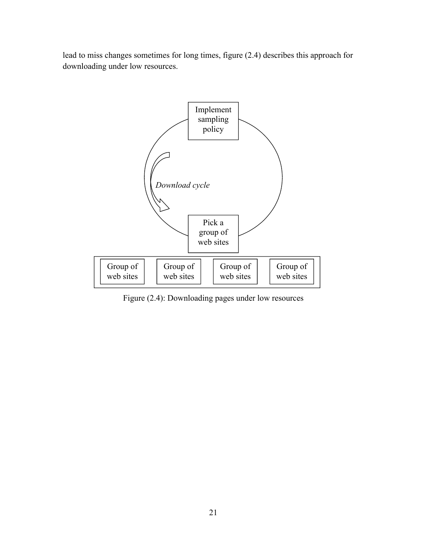lead to miss changes sometimes for long times, figure (2.4) describes this approach for downloading under low resources.



Figure (2.4): Downloading pages under low resources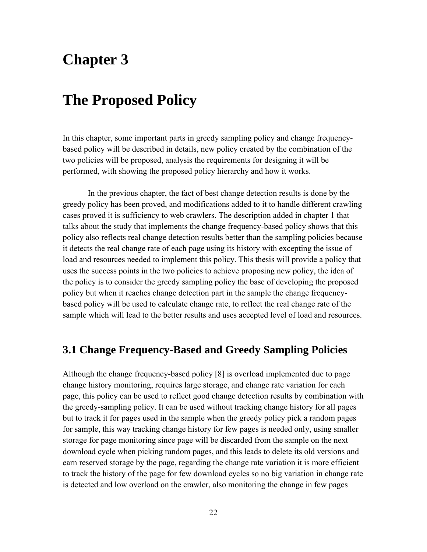# **Chapter 3**

# **The Proposed Policy**

In this chapter, some important parts in greedy sampling policy and change frequencybased policy will be described in details, new policy created by the combination of the two policies will be proposed, analysis the requirements for designing it will be performed, with showing the proposed policy hierarchy and how it works.

In the previous chapter, the fact of best change detection results is done by the greedy policy has been proved, and modifications added to it to handle different crawling cases proved it is sufficiency to web crawlers. The description added in chapter 1 that talks about the study that implements the change frequency-based policy shows that this policy also reflects real change detection results better than the sampling policies because it detects the real change rate of each page using its history with excepting the issue of load and resources needed to implement this policy. This thesis will provide a policy that uses the success points in the two policies to achieve proposing new policy, the idea of the policy is to consider the greedy sampling policy the base of developing the proposed policy but when it reaches change detection part in the sample the change frequencybased policy will be used to calculate change rate, to reflect the real change rate of the sample which will lead to the better results and uses accepted level of load and resources.

### **3.1 Change Frequency-Based and Greedy Sampling Policies**

Although the change frequency-based policy [8] is overload implemented due to page change history monitoring, requires large storage, and change rate variation for each page, this policy can be used to reflect good change detection results by combination with the greedy-sampling policy. It can be used without tracking change history for all pages but to track it for pages used in the sample when the greedy policy pick a random pages for sample, this way tracking change history for few pages is needed only, using smaller storage for page monitoring since page will be discarded from the sample on the next download cycle when picking random pages, and this leads to delete its old versions and earn reserved storage by the page, regarding the change rate variation it is more efficient to track the history of the page for few download cycles so no big variation in change rate is detected and low overload on the crawler, also monitoring the change in few pages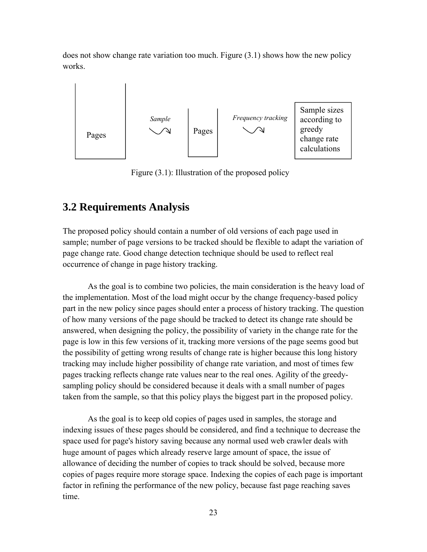does not show change rate variation too much. Figure (3.1) shows how the new policy works.



Figure (3.1): Illustration of the proposed policy

#### **3.2 Requirements Analysis**

The proposed policy should contain a number of old versions of each page used in sample; number of page versions to be tracked should be flexible to adapt the variation of page change rate. Good change detection technique should be used to reflect real occurrence of change in page history tracking.

As the goal is to combine two policies, the main consideration is the heavy load of the implementation. Most of the load might occur by the change frequency-based policy part in the new policy since pages should enter a process of history tracking. The question of how many versions of the page should be tracked to detect its change rate should be answered, when designing the policy, the possibility of variety in the change rate for the page is low in this few versions of it, tracking more versions of the page seems good but the possibility of getting wrong results of change rate is higher because this long history tracking may include higher possibility of change rate variation, and most of times few pages tracking reflects change rate values near to the real ones. Agility of the greedysampling policy should be considered because it deals with a small number of pages taken from the sample, so that this policy plays the biggest part in the proposed policy.

As the goal is to keep old copies of pages used in samples, the storage and indexing issues of these pages should be considered, and find a technique to decrease the space used for page's history saving because any normal used web crawler deals with huge amount of pages which already reserve large amount of space, the issue of allowance of deciding the number of copies to track should be solved, because more copies of pages require more storage space. Indexing the copies of each page is important factor in refining the performance of the new policy, because fast page reaching saves time.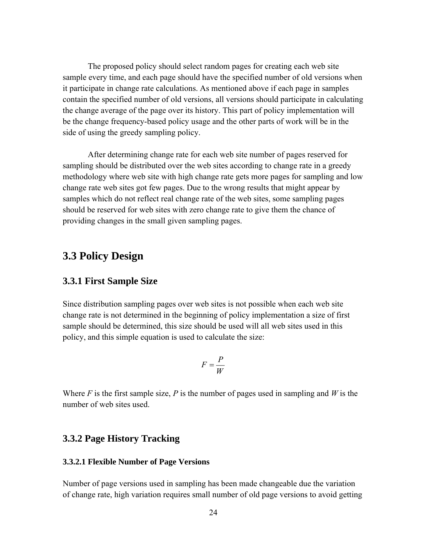The proposed policy should select random pages for creating each web site sample every time, and each page should have the specified number of old versions when it participate in change rate calculations. As mentioned above if each page in samples contain the specified number of old versions, all versions should participate in calculating the change average of the page over its history. This part of policy implementation will be the change frequency-based policy usage and the other parts of work will be in the side of using the greedy sampling policy.

After determining change rate for each web site number of pages reserved for sampling should be distributed over the web sites according to change rate in a greedy methodology where web site with high change rate gets more pages for sampling and low change rate web sites got few pages. Due to the wrong results that might appear by samples which do not reflect real change rate of the web sites, some sampling pages should be reserved for web sites with zero change rate to give them the chance of providing changes in the small given sampling pages.

#### **3.3 Policy Design**

#### **3.3.1 First Sample Size**

Since distribution sampling pages over web sites is not possible when each web site change rate is not determined in the beginning of policy implementation a size of first sample should be determined, this size should be used will all web sites used in this policy, and this simple equation is used to calculate the size:

$$
F = \frac{P}{W}
$$

Where *F* is the first sample size, *P* is the number of pages used in sampling and *W* is the number of web sites used.

#### **3.3.2 Page History Tracking**

#### **3.3.2.1 Flexible Number of Page Versions**

Number of page versions used in sampling has been made changeable due the variation of change rate, high variation requires small number of old page versions to avoid getting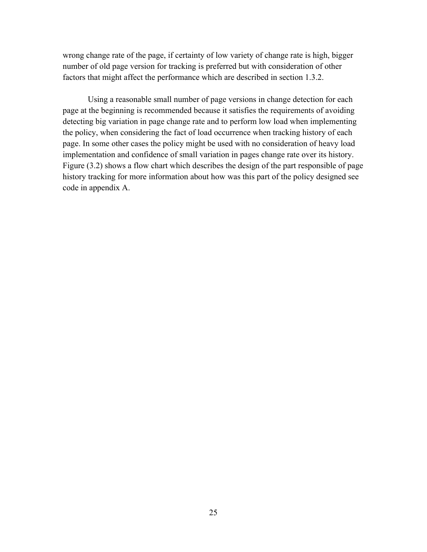wrong change rate of the page, if certainty of low variety of change rate is high, bigger number of old page version for tracking is preferred but with consideration of other factors that might affect the performance which are described in section 1.3.2.

Using a reasonable small number of page versions in change detection for each page at the beginning is recommended because it satisfies the requirements of avoiding detecting big variation in page change rate and to perform low load when implementing the policy, when considering the fact of load occurrence when tracking history of each page. In some other cases the policy might be used with no consideration of heavy load implementation and confidence of small variation in pages change rate over its history. Figure (3.2) shows a flow chart which describes the design of the part responsible of page history tracking for more information about how was this part of the policy designed see code in appendix A.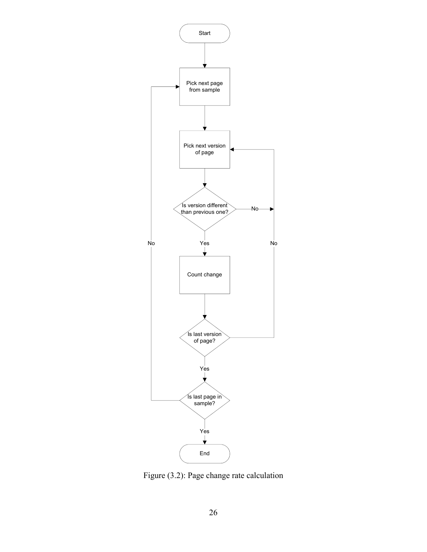

Figure (3.2): Page change rate calculation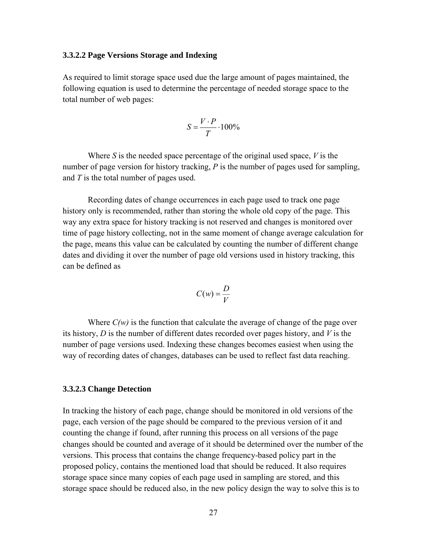#### **3.3.2.2 Page Versions Storage and Indexing**

As required to limit storage space used due the large amount of pages maintained, the following equation is used to determine the percentage of needed storage space to the total number of web pages:

$$
S = \frac{V \cdot P}{T} \cdot 100\%
$$

Where *S* is the needed space percentage of the original used space, *V* is the number of page version for history tracking, *P* is the number of pages used for sampling, and *T* is the total number of pages used.

Recording dates of change occurrences in each page used to track one page history only is recommended, rather than storing the whole old copy of the page. This way any extra space for history tracking is not reserved and changes is monitored over time of page history collecting, not in the same moment of change average calculation for the page, means this value can be calculated by counting the number of different change dates and dividing it over the number of page old versions used in history tracking, this can be defined as

$$
C(w) = \frac{D}{V}
$$

Where  $C(w)$  is the function that calculate the average of change of the page over its history, *D* is the number of different dates recorded over pages history, and *V* is the number of page versions used. Indexing these changes becomes easiest when using the way of recording dates of changes, databases can be used to reflect fast data reaching.

#### **3.3.2.3 Change Detection**

In tracking the history of each page, change should be monitored in old versions of the page, each version of the page should be compared to the previous version of it and counting the change if found, after running this process on all versions of the page changes should be counted and average of it should be determined over the number of the versions. This process that contains the change frequency-based policy part in the proposed policy, contains the mentioned load that should be reduced. It also requires storage space since many copies of each page used in sampling are stored, and this storage space should be reduced also, in the new policy design the way to solve this is to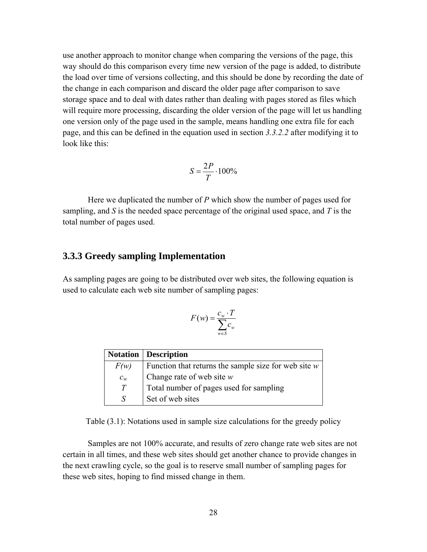use another approach to monitor change when comparing the versions of the page, this way should do this comparison every time new version of the page is added, to distribute the load over time of versions collecting, and this should be done by recording the date of the change in each comparison and discard the older page after comparison to save storage space and to deal with dates rather than dealing with pages stored as files which will require more processing, discarding the older version of the page will let us handling one version only of the page used in the sample, means handling one extra file for each page, and this can be defined in the equation used in section *3.3.2.2* after modifying it to look like this:

$$
S = \frac{2P}{T} \cdot 100\%
$$

Here we duplicated the number of *P* which show the number of pages used for sampling, and *S* is the needed space percentage of the original used space, and *T* is the total number of pages used.

#### **3.3.3 Greedy sampling Implementation**

As sampling pages are going to be distributed over web sites, the following equation is used to calculate each web site number of sampling pages:

$$
F(w) = \frac{c_w \cdot T}{\sum_{w \in S} c_w}
$$

|       | <b>Notation</b> Description                            |
|-------|--------------------------------------------------------|
| F(w)  | Function that returns the sample size for web site $w$ |
| $c_w$ | Change rate of web site $w$                            |
| T     | Total number of pages used for sampling                |
| S     | Set of web sites                                       |

Table (3.1): Notations used in sample size calculations for the greedy policy

Samples are not 100% accurate, and results of zero change rate web sites are not certain in all times, and these web sites should get another chance to provide changes in the next crawling cycle, so the goal is to reserve small number of sampling pages for these web sites, hoping to find missed change in them.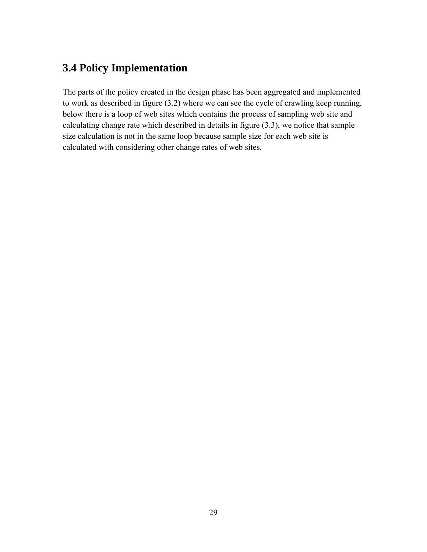# **3.4 Policy Implementation**

The parts of the policy created in the design phase has been aggregated and implemented to work as described in figure (3.2) where we can see the cycle of crawling keep running, below there is a loop of web sites which contains the process of sampling web site and calculating change rate which described in details in figure (3.3), we notice that sample size calculation is not in the same loop because sample size for each web site is calculated with considering other change rates of web sites.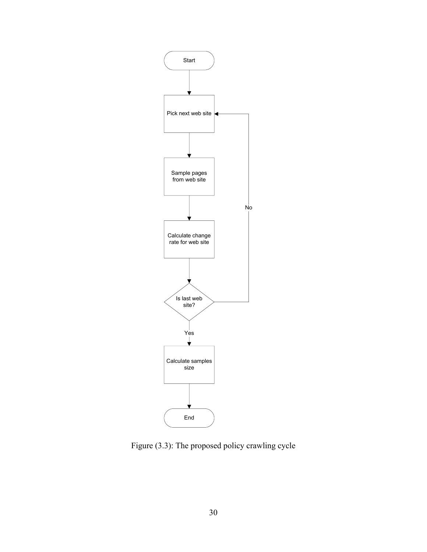

Figure (3.3): The proposed policy crawling cycle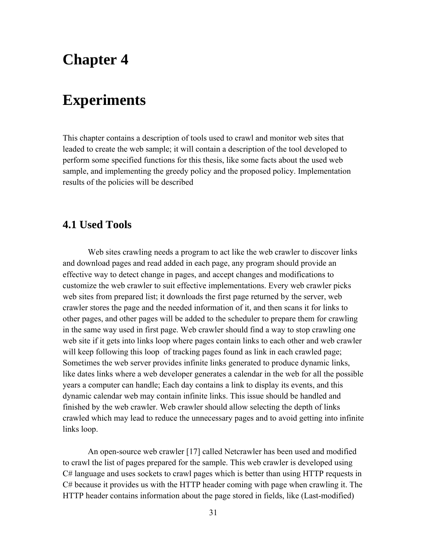# **Chapter 4**

# **Experiments**

This chapter contains a description of tools used to crawl and monitor web sites that leaded to create the web sample; it will contain a description of the tool developed to perform some specified functions for this thesis, like some facts about the used web sample, and implementing the greedy policy and the proposed policy. Implementation results of the policies will be described

### **4.1 Used Tools**

Web sites crawling needs a program to act like the web crawler to discover links and download pages and read added in each page, any program should provide an effective way to detect change in pages, and accept changes and modifications to customize the web crawler to suit effective implementations. Every web crawler picks web sites from prepared list; it downloads the first page returned by the server, web crawler stores the page and the needed information of it, and then scans it for links to other pages, and other pages will be added to the scheduler to prepare them for crawling in the same way used in first page. Web crawler should find a way to stop crawling one web site if it gets into links loop where pages contain links to each other and web crawler will keep following this loop of tracking pages found as link in each crawled page; Sometimes the web server provides infinite links generated to produce dynamic links, like dates links where a web developer generates a calendar in the web for all the possible years a computer can handle; Each day contains a link to display its events, and this dynamic calendar web may contain infinite links. This issue should be handled and finished by the web crawler. Web crawler should allow selecting the depth of links crawled which may lead to reduce the unnecessary pages and to avoid getting into infinite links loop.

An open-source web crawler [17] called Netcrawler has been used and modified to crawl the list of pages prepared for the sample. This web crawler is developed using C# language and uses sockets to crawl pages which is better than using HTTP requests in C# because it provides us with the HTTP header coming with page when crawling it. The HTTP header contains information about the page stored in fields, like (Last-modified)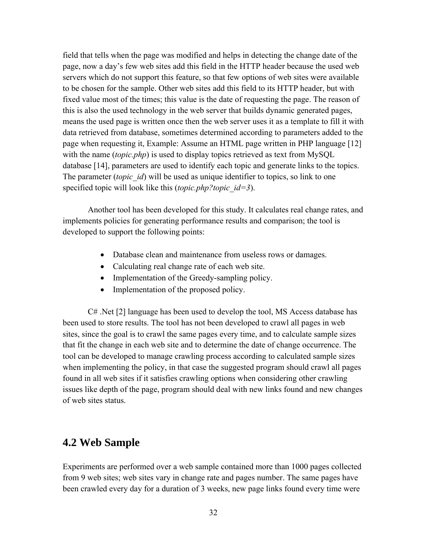field that tells when the page was modified and helps in detecting the change date of the page, now a day's few web sites add this field in the HTTP header because the used web servers which do not support this feature, so that few options of web sites were available to be chosen for the sample. Other web sites add this field to its HTTP header, but with fixed value most of the times; this value is the date of requesting the page. The reason of this is also the used technology in the web server that builds dynamic generated pages, means the used page is written once then the web server uses it as a template to fill it with data retrieved from database, sometimes determined according to parameters added to the page when requesting it, Example: Assume an HTML page written in PHP language [12] with the name *(topic.php)* is used to display topics retrieved as text from MySQL database [14], parameters are used to identify each topic and generate links to the topics. The parameter *(topic id)* will be used as unique identifier to topics, so link to one specified topic will look like this (*topic.php?topic\_id=3*).

Another tool has been developed for this study. It calculates real change rates, and implements policies for generating performance results and comparison; the tool is developed to support the following points:

- Database clean and maintenance from useless rows or damages.
- Calculating real change rate of each web site.
- Implementation of the Greedy-sampling policy.
- Implementation of the proposed policy.

C# .Net [2] language has been used to develop the tool, MS Access database has been used to store results. The tool has not been developed to crawl all pages in web sites, since the goal is to crawl the same pages every time, and to calculate sample sizes that fit the change in each web site and to determine the date of change occurrence. The tool can be developed to manage crawling process according to calculated sample sizes when implementing the policy, in that case the suggested program should crawl all pages found in all web sites if it satisfies crawling options when considering other crawling issues like depth of the page, program should deal with new links found and new changes of web sites status.

#### **4.2 Web Sample**

Experiments are performed over a web sample contained more than 1000 pages collected from 9 web sites; web sites vary in change rate and pages number. The same pages have been crawled every day for a duration of 3 weeks, new page links found every time were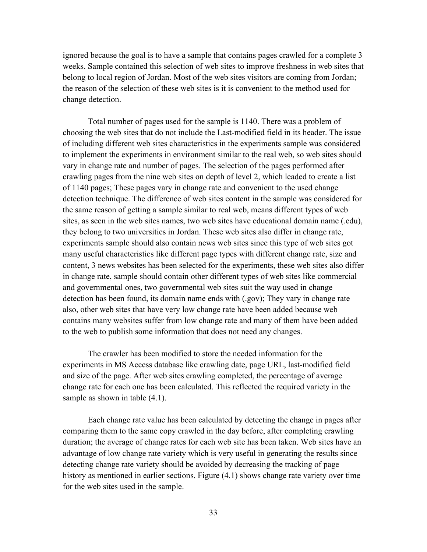ignored because the goal is to have a sample that contains pages crawled for a complete 3 weeks. Sample contained this selection of web sites to improve freshness in web sites that belong to local region of Jordan. Most of the web sites visitors are coming from Jordan; the reason of the selection of these web sites is it is convenient to the method used for change detection.

Total number of pages used for the sample is 1140. There was a problem of choosing the web sites that do not include the Last-modified field in its header. The issue of including different web sites characteristics in the experiments sample was considered to implement the experiments in environment similar to the real web, so web sites should vary in change rate and number of pages. The selection of the pages performed after crawling pages from the nine web sites on depth of level 2, which leaded to create a list of 1140 pages; These pages vary in change rate and convenient to the used change detection technique. The difference of web sites content in the sample was considered for the same reason of getting a sample similar to real web, means different types of web sites, as seen in the web sites names, two web sites have educational domain name (.edu), they belong to two universities in Jordan. These web sites also differ in change rate, experiments sample should also contain news web sites since this type of web sites got many useful characteristics like different page types with different change rate, size and content, 3 news websites has been selected for the experiments, these web sites also differ in change rate, sample should contain other different types of web sites like commercial and governmental ones, two governmental web sites suit the way used in change detection has been found, its domain name ends with (.gov); They vary in change rate also, other web sites that have very low change rate have been added because web contains many websites suffer from low change rate and many of them have been added to the web to publish some information that does not need any changes.

The crawler has been modified to store the needed information for the experiments in MS Access database like crawling date, page URL, last-modified field and size of the page. After web sites crawling completed, the percentage of average change rate for each one has been calculated. This reflected the required variety in the sample as shown in table  $(4.1)$ .

Each change rate value has been calculated by detecting the change in pages after comparing them to the same copy crawled in the day before, after completing crawling duration; the average of change rates for each web site has been taken. Web sites have an advantage of low change rate variety which is very useful in generating the results since detecting change rate variety should be avoided by decreasing the tracking of page history as mentioned in earlier sections. Figure (4.1) shows change rate variety over time for the web sites used in the sample.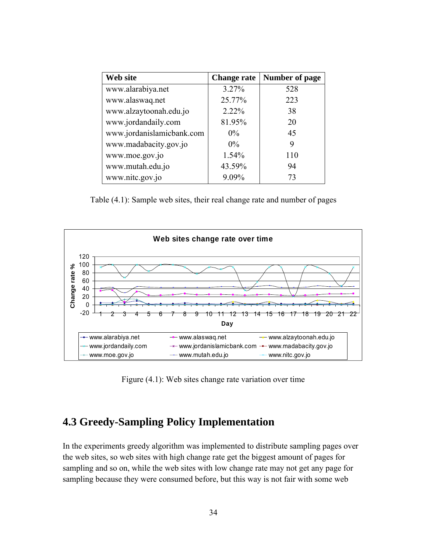| Web site                  | <b>Change rate</b> | <b>Number of page</b> |
|---------------------------|--------------------|-----------------------|
| www.alarabiya.net         | 3.27%              | 528                   |
| www.alaswaq.net           | 25.77%             | 223                   |
| www.alzaytoonah.edu.jo    | 2.22%              | 38                    |
| www.jordandaily.com       | 81.95%             | 20                    |
| www.jordanislamicbank.com | $0\%$              | 45                    |
| www.madabacity.gov.jo     | $0\%$              | 9                     |
| www.moe.gov.jo            | 1.54%              | 110                   |
| www.mutah.edu.jo          | 43.59%             | 94                    |
| www.nitc.gov.jo           | 9.09%              | 73                    |

Table (4.1): Sample web sites, their real change rate and number of pages



Figure (4.1): Web sites change rate variation over time

#### **4.3 Greedy-Sampling Policy Implementation**

In the experiments greedy algorithm was implemented to distribute sampling pages over the web sites, so web sites with high change rate get the biggest amount of pages for sampling and so on, while the web sites with low change rate may not get any page for sampling because they were consumed before, but this way is not fair with some web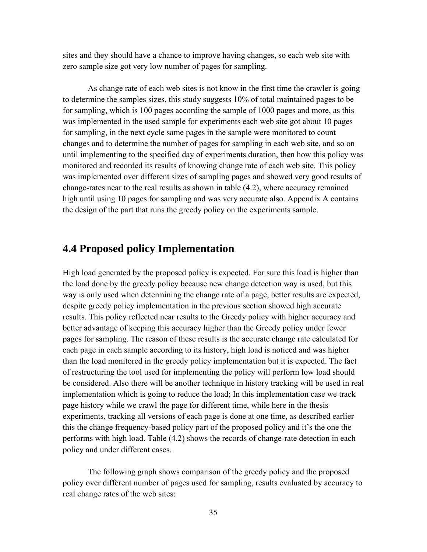sites and they should have a chance to improve having changes, so each web site with zero sample size got very low number of pages for sampling.

As change rate of each web sites is not know in the first time the crawler is going to determine the samples sizes, this study suggests 10% of total maintained pages to be for sampling, which is 100 pages according the sample of 1000 pages and more, as this was implemented in the used sample for experiments each web site got about 10 pages for sampling, in the next cycle same pages in the sample were monitored to count changes and to determine the number of pages for sampling in each web site, and so on until implementing to the specified day of experiments duration, then how this policy was monitored and recorded its results of knowing change rate of each web site. This policy was implemented over different sizes of sampling pages and showed very good results of change-rates near to the real results as shown in table (4.2), where accuracy remained high until using 10 pages for sampling and was very accurate also. Appendix A contains the design of the part that runs the greedy policy on the experiments sample.

#### **4.4 Proposed policy Implementation**

High load generated by the proposed policy is expected. For sure this load is higher than the load done by the greedy policy because new change detection way is used, but this way is only used when determining the change rate of a page, better results are expected, despite greedy policy implementation in the previous section showed high accurate results. This policy reflected near results to the Greedy policy with higher accuracy and better advantage of keeping this accuracy higher than the Greedy policy under fewer pages for sampling. The reason of these results is the accurate change rate calculated for each page in each sample according to its history, high load is noticed and was higher than the load monitored in the greedy policy implementation but it is expected. The fact of restructuring the tool used for implementing the policy will perform low load should be considered. Also there will be another technique in history tracking will be used in real implementation which is going to reduce the load; In this implementation case we track page history while we crawl the page for different time, while here in the thesis experiments, tracking all versions of each page is done at one time, as described earlier this the change frequency-based policy part of the proposed policy and it's the one the performs with high load. Table (4.2) shows the records of change-rate detection in each policy and under different cases.

The following graph shows comparison of the greedy policy and the proposed policy over different number of pages used for sampling, results evaluated by accuracy to real change rates of the web sites: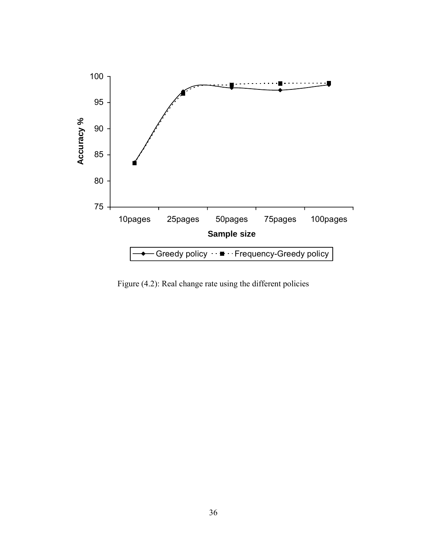

Figure (4.2): Real change rate using the different policies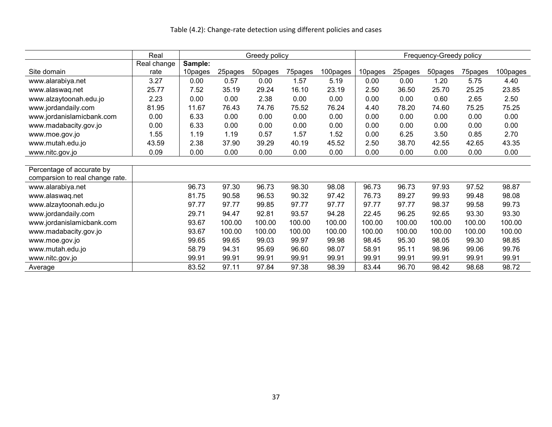#### Table (4.2): Change-rate detection using different policies and cases

|                                 | Real        | Greedy policy |         |         |         | Frequency-Greedy policy |         |         |         |         |          |
|---------------------------------|-------------|---------------|---------|---------|---------|-------------------------|---------|---------|---------|---------|----------|
|                                 | Real change | Sample:       |         |         |         |                         |         |         |         |         |          |
| Site domain                     | rate        | 10pages       | 25pages | 50pages | 75pages | 100pages                | 10pages | 25pages | 50pages | 75pages | 100pages |
| www.alarabiya.net               | 3.27        | 0.00          | 0.57    | 0.00    | 1.57    | 5.19                    | 0.00    | 0.00    | 1.20    | 5.75    | 4.40     |
| www.alaswaq.net                 | 25.77       | 7.52          | 35.19   | 29.24   | 16.10   | 23.19                   | 2.50    | 36.50   | 25.70   | 25.25   | 23.85    |
| www.alzaytoonah.edu.jo          | 2.23        | 0.00          | 0.00    | 2.38    | 0.00    | 0.00                    | 0.00    | 0.00    | 0.60    | 2.65    | 2.50     |
| www.jordandaily.com             | 81.95       | 11.67         | 76.43   | 74.76   | 75.52   | 76.24                   | 4.40    | 78.20   | 74.60   | 75.25   | 75.25    |
| www.jordanislamicbank.com       | 0.00        | 6.33          | 0.00    | 0.00    | 0.00    | 0.00                    | 0.00    | 0.00    | 0.00    | 0.00    | 0.00     |
| www.madabacity.gov.jo           | 0.00        | 6.33          | 0.00    | 0.00    | 0.00    | 0.00                    | 0.00    | 0.00    | 0.00    | 0.00    | 0.00     |
| www.moe.gov.jo                  | 1.55        | 1.19          | 1.19    | 0.57    | 1.57    | 1.52                    | 0.00    | 6.25    | 3.50    | 0.85    | 2.70     |
| www.mutah.edu.jo                | 43.59       | 2.38          | 37.90   | 39.29   | 40.19   | 45.52                   | 2.50    | 38.70   | 42.55   | 42.65   | 43.35    |
| www.nitc.gov.jo                 | 0.09        | 0.00          | 0.00    | 0.00    | 0.00    | 0.00                    | 0.00    | 0.00    | 0.00    | 0.00    | 0.00     |
|                                 |             |               |         |         |         |                         |         |         |         |         |          |
| Percentage of accurate by       |             |               |         |         |         |                         |         |         |         |         |          |
| comparsion to real change rate. |             |               |         |         |         |                         |         |         |         |         |          |
| www.alarabiya.net               |             | 96.73         | 97.30   | 96.73   | 98.30   | 98.08                   | 96.73   | 96.73   | 97.93   | 97.52   | 98.87    |
| www.alaswaq.net                 |             | 81.75         | 90.58   | 96.53   | 90.32   | 97.42                   | 76.73   | 89.27   | 99.93   | 99.48   | 98.08    |
| www.alzaytoonah.edu.jo          |             | 97.77         | 97.77   | 99.85   | 97.77   | 97.77                   | 97.77   | 97.77   | 98.37   | 99.58   | 99.73    |
| www.jordandaily.com             |             | 29.71         | 94.47   | 92.81   | 93.57   | 94.28                   | 22.45   | 96.25   | 92.65   | 93.30   | 93.30    |
| www.jordanislamicbank.com       |             | 93.67         | 100.00  | 100.00  | 100.00  | 100.00                  | 100.00  | 100.00  | 100.00  | 100.00  | 100.00   |
| www.madabacity.gov.jo           |             | 93.67         | 100.00  | 100.00  | 100.00  | 100.00                  | 100.00  | 100.00  | 100.00  | 100.00  | 100.00   |
| www.moe.gov.jo                  |             | 99.65         | 99.65   | 99.03   | 99.97   | 99.98                   | 98.45   | 95.30   | 98.05   | 99.30   | 98.85    |
| www.mutah.edu.jo                |             | 58.79         | 94.31   | 95.69   | 96.60   | 98.07                   | 58.91   | 95.11   | 98.96   | 99.06   | 99.76    |
| www.nitc.gov.jo                 |             | 99.91         | 99.91   | 99.91   | 99.91   | 99.91                   | 99.91   | 99.91   | 99.91   | 99.91   | 99.91    |
| Average                         |             | 83.52         | 97.11   | 97.84   | 97.38   | 98.39                   | 83.44   | 96.70   | 98.42   | 98.68   | 98.72    |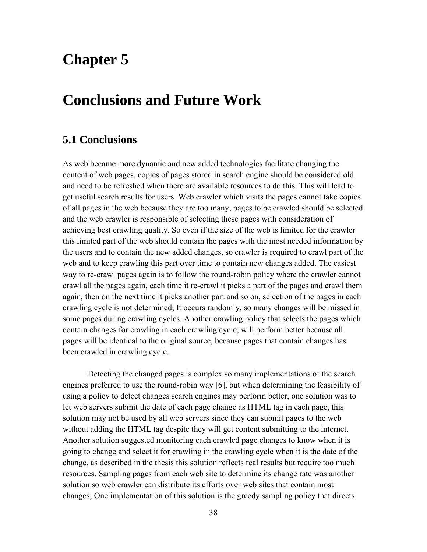# **Chapter 5**

# **Conclusions and Future Work**

# **5.1 Conclusions**

As web became more dynamic and new added technologies facilitate changing the content of web pages, copies of pages stored in search engine should be considered old and need to be refreshed when there are available resources to do this. This will lead to get useful search results for users. Web crawler which visits the pages cannot take copies of all pages in the web because they are too many, pages to be crawled should be selected and the web crawler is responsible of selecting these pages with consideration of achieving best crawling quality. So even if the size of the web is limited for the crawler this limited part of the web should contain the pages with the most needed information by the users and to contain the new added changes, so crawler is required to crawl part of the web and to keep crawling this part over time to contain new changes added. The easiest way to re-crawl pages again is to follow the round-robin policy where the crawler cannot crawl all the pages again, each time it re-crawl it picks a part of the pages and crawl them again, then on the next time it picks another part and so on, selection of the pages in each crawling cycle is not determined; It occurs randomly, so many changes will be missed in some pages during crawling cycles. Another crawling policy that selects the pages which contain changes for crawling in each crawling cycle, will perform better because all pages will be identical to the original source, because pages that contain changes has been crawled in crawling cycle.

Detecting the changed pages is complex so many implementations of the search engines preferred to use the round-robin way [6], but when determining the feasibility of using a policy to detect changes search engines may perform better, one solution was to let web servers submit the date of each page change as HTML tag in each page, this solution may not be used by all web servers since they can submit pages to the web without adding the HTML tag despite they will get content submitting to the internet. Another solution suggested monitoring each crawled page changes to know when it is going to change and select it for crawling in the crawling cycle when it is the date of the change, as described in the thesis this solution reflects real results but require too much resources. Sampling pages from each web site to determine its change rate was another solution so web crawler can distribute its efforts over web sites that contain most changes; One implementation of this solution is the greedy sampling policy that directs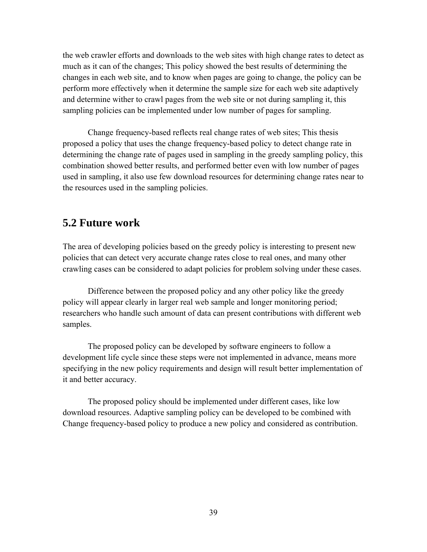the web crawler efforts and downloads to the web sites with high change rates to detect as much as it can of the changes; This policy showed the best results of determining the changes in each web site, and to know when pages are going to change, the policy can be perform more effectively when it determine the sample size for each web site adaptively and determine wither to crawl pages from the web site or not during sampling it, this sampling policies can be implemented under low number of pages for sampling.

Change frequency-based reflects real change rates of web sites; This thesis proposed a policy that uses the change frequency-based policy to detect change rate in determining the change rate of pages used in sampling in the greedy sampling policy, this combination showed better results, and performed better even with low number of pages used in sampling, it also use few download resources for determining change rates near to the resources used in the sampling policies.

#### **5.2 Future work**

The area of developing policies based on the greedy policy is interesting to present new policies that can detect very accurate change rates close to real ones, and many other crawling cases can be considered to adapt policies for problem solving under these cases.

Difference between the proposed policy and any other policy like the greedy policy will appear clearly in larger real web sample and longer monitoring period; researchers who handle such amount of data can present contributions with different web samples.

The proposed policy can be developed by software engineers to follow a development life cycle since these steps were not implemented in advance, means more specifying in the new policy requirements and design will result better implementation of it and better accuracy.

The proposed policy should be implemented under different cases, like low download resources. Adaptive sampling policy can be developed to be combined with Change frequency-based policy to produce a new policy and considered as contribution.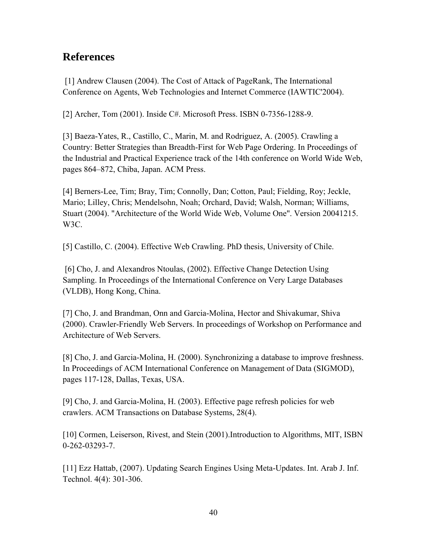# **References**

[1] Andrew Clausen (2004). The Cost of Attack of PageRank, The International Conference on Agents, Web Technologies and Internet Commerce (IAWTIC'2004).

[2] Archer, Tom (2001). Inside C#. Microsoft Press. ISBN 0-7356-1288-9.

[3] Baeza-Yates, R., Castillo, C., Marin, M. and Rodriguez, A. (2005). Crawling a Country: Better Strategies than Breadth-First for Web Page Ordering. In Proceedings of the Industrial and Practical Experience track of the 14th conference on World Wide Web, pages 864–872, Chiba, Japan. ACM Press.

[4] Berners-Lee, Tim; Bray, Tim; Connolly, Dan; Cotton, Paul; Fielding, Roy; Jeckle, Mario; Lilley, Chris; Mendelsohn, Noah; Orchard, David; Walsh, Norman; Williams, Stuart (2004). "Architecture of the World Wide Web, Volume One". Version 20041215. W3C.

[5] Castillo, C. (2004). Effective Web Crawling. PhD thesis, University of Chile.

[6] Cho, J. and Alexandros Ntoulas, (2002). Effective Change Detection Using Sampling. In Proceedings of the International Conference on Very Large Databases (VLDB), Hong Kong, China.

[7] Cho, J. and Brandman, Onn and Garcia-Molina, Hector and Shivakumar, Shiva (2000). Crawler-Friendly Web Servers. In proceedings of Workshop on Performance and Architecture of Web Servers.

[8] Cho, J. and Garcia-Molina, H. (2000). Synchronizing a database to improve freshness. In Proceedings of ACM International Conference on Management of Data (SIGMOD), pages 117-128, Dallas, Texas, USA.

[9] Cho, J. and Garcia-Molina, H. (2003). Effective page refresh policies for web crawlers. ACM Transactions on Database Systems, 28(4).

[10] Cormen, Leiserson, Rivest, and Stein (2001).Introduction to Algorithms, MIT, ISBN 0-262-03293-7.

[11] Ezz Hattab, (2007). Updating Search Engines Using Meta-Updates. Int. Arab J. Inf. Technol. 4(4): 301-306.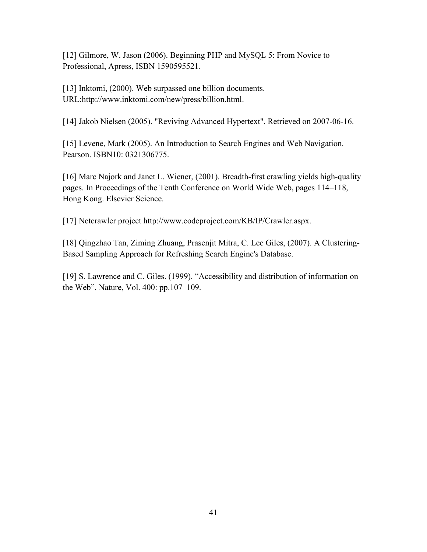[12] Gilmore, W. Jason (2006). Beginning PHP and MySQL 5: From Novice to Professional, Apress, ISBN 1590595521.

[13] Inktomi, (2000). Web surpassed one billion documents. URL:http://www.inktomi.com/new/press/billion.html.

[14] Jakob Nielsen (2005). "Reviving Advanced Hypertext". Retrieved on 2007-06-16.

[15] Levene, Mark (2005). An Introduction to Search Engines and Web Navigation. Pearson. ISBN10: 0321306775.

[16] Marc Najork and Janet L. Wiener, (2001). Breadth-first crawling yields high-quality pages. In Proceedings of the Tenth Conference on World Wide Web, pages 114–118, Hong Kong. Elsevier Science.

[17] Netcrawler project http://www.codeproject.com/KB/IP/Crawler.aspx.

[18] Qingzhao Tan, Ziming Zhuang, Prasenjit Mitra, C. Lee Giles, (2007). A Clustering-Based Sampling Approach for Refreshing Search Engine's Database.

[19] S. Lawrence and C. Giles. (1999). "Accessibility and distribution of information on the Web". Nature, Vol. 400: pp.107–109.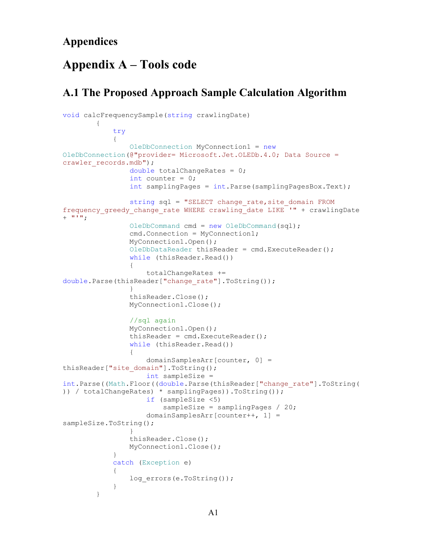### **Appendices**

# **Appendix A – Tools code**

# **A.1 The Proposed Approach Sample Calculation Algorithm**

```
void calcFrequencySample(string crawlingDate)
\{ try
\{ OleDbConnection MyConnection1 = new
OleDbConnection(@"provider= Microsoft.Jet.OLEDb.4.0; Data Source = 
crawler records.mdb");
                double totalChangeRates = 0;
               int counter = 0;
                int samplingPages = int.Parse(samplingPagesBox.Text);
                string sql = "SELECT change_rate,site_domain FROM 
frequency greedy change rate WHERE crawling date LIKE '" + crawlingDate
+ """";
                OleDbCommand cmd = new OleDbCommand(sql);
                cmd.Connection = MyConnection1;
                MyConnection1.Open();
                OleDbDataReader thisReader = cmd.ExecuteReader();
                while (thisReader.Read())
 {
                    totalChangeRates += 
double.Parse(thisReader["change_rate"].ToString());
 }
                thisReader.Close();
                MyConnection1.Close();
                //sql again
                MyConnection1.Open();
                thisReader = cmd.ExecuteReader();
                while (thisReader.Read())
 {
                    domainSamplesArr[counter, 0] = 
thisReader["site_domain"].ToString();
                    int sampleSize = 
int.Parse((Math.Floor((double.Parse(thisReader["change_rate"].ToString(
)) / totalChangeRates) * samplingPages)).ToString());
                    if (sampleSize <5)
                        sampleSize = samplingPages / 20;
                    domainSamplesArr[counter++, 1] = 
sampleSize.ToString();
 }
                thisReader.Close();
                MyConnection1.Close();
 }
            catch (Exception e)
\{log_errors(e.ToString());
 }
        }
```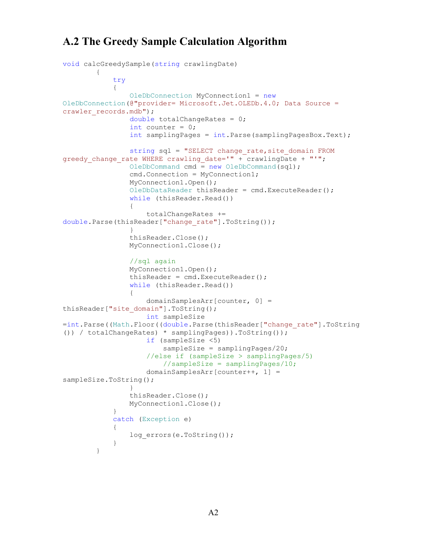# **A.2 The Greedy Sample Calculation Algorithm**

```
void calcGreedySample(string crawlingDate)
\{ try
\{ OleDbConnection MyConnection1 = new
OleDbConnection(@"provider= Microsoft.Jet.OLEDb.4.0; Data Source = 
crawler records.mdb");
                double totalChangeRates = 0;
               int counter = 0;
                int samplingPages = int.Parse(samplingPagesBox.Text);
                string sql = "SELECT change_rate,site_domain FROM 
greedy change rate WHERE crawling date='" + crawlingDate + "'";
                OleDbCommand cmd = new OleDbCommand(sql);
                cmd.Connection = MyConnection1;
                MyConnection1.Open();
                OleDbDataReader thisReader = cmd.ExecuteReader();
               while (thisReader.Read())
 {
                    totalChangeRates += 
double.Parse(thisReader["change_rate"].ToString());
 }
                thisReader.Close();
                MyConnection1.Close();
                //sql again
                MyConnection1.Open();
               thisReader = cmd.FxecuteReader();
               while (thisReader.Read())
 {
                    domainSamplesArr[counter, 0] = 
thisReader["site domain"].ToString();
                    int sampleSize 
=int.Parse((Math.Floor((double.Parse(thisReader["change_rate"].ToString
()) / totalChangeRates) * samplingPages)).ToString());
                    if (sampleSize <5)
                        sampleSize = samplingPages/20;
                    //else if (sampleSize > samplingPages/5)
                        //sampleSize = samplingPages/10;
                    domainSamplesArr[counter++, 1] = 
sampleSize.ToString();
 }
                thisReader.Close();
                MyConnection1.Close();
 }
            catch (Exception e)
\{log_errors(e.ToString());
 }
        }
```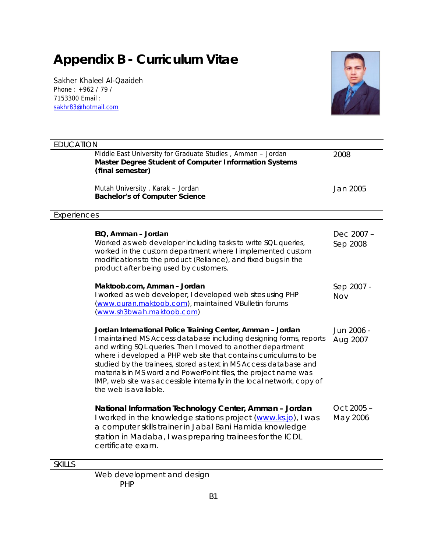# **Appendix B - Curriculum Vitae**

Sakher Khaleel Al-Qaaideh Phone : +962 / 79 / 7153300 Email : sakhr83@hotmail.com



| <b>EDUCATION</b> |                                                                                                                                                                                                                                                                                                                                                                                                                                                                                                                |                        |
|------------------|----------------------------------------------------------------------------------------------------------------------------------------------------------------------------------------------------------------------------------------------------------------------------------------------------------------------------------------------------------------------------------------------------------------------------------------------------------------------------------------------------------------|------------------------|
|                  | Middle East University for Graduate Studies, Amman - Jordan<br>Master Degree Student of Computer Information Systems<br>(final semester)                                                                                                                                                                                                                                                                                                                                                                       | 2008                   |
|                  | Mutah University, Karak - Jordan<br>Bachelor's of Computer Science                                                                                                                                                                                                                                                                                                                                                                                                                                             | Jan 2005               |
| Experiences      |                                                                                                                                                                                                                                                                                                                                                                                                                                                                                                                |                        |
|                  | EtQ, Amman - Jordan<br>Worked as web developer including tasks to write SQL queries,<br>worked in the custom department where I implemented custom<br>modifications to the product (Reliance), and fixed bugs in the<br>product after being used by customers.                                                                                                                                                                                                                                                 | Dec 2007 -<br>Sep 2008 |
|                  | Maktoob.com, Amman - Jordan<br>I worked as web developer, I developed web sites using PHP<br>(www.quran.maktoob.com), maintained VBulletin forums<br>(www.sh3bwah.maktoob.com)                                                                                                                                                                                                                                                                                                                                 | Sep 2007 -<br>Nov      |
|                  | Jordan International Police Training Center, Amman - Jordan<br>I maintained MS Access database including designing forms, reports<br>and writing SQL queries. Then I moved to another department<br>where i developed a PHP web site that contains curriculums to be<br>studied by the trainees, stored as text in MS Access database and<br>materials in MS word and PowerPoint files, the project name was<br>IMP, web site was accessible internally in the local network, copy of<br>the web is available. | Jun 2006 -<br>Aug 2007 |
|                  | National Information Technology Center, Amman - Jordan<br>I worked in the knowledge stations project (www.ks.jo), I was<br>a computer skills trainer in Jabal Bani Hamida knowledge<br>station in Madaba, I was preparing trainees for the ICDL<br>certificate exam.                                                                                                                                                                                                                                           | Oct 2005 -<br>May 2006 |
| <b>SKILLS</b>    |                                                                                                                                                                                                                                                                                                                                                                                                                                                                                                                |                        |
|                  |                                                                                                                                                                                                                                                                                                                                                                                                                                                                                                                |                        |

Web development and design PHP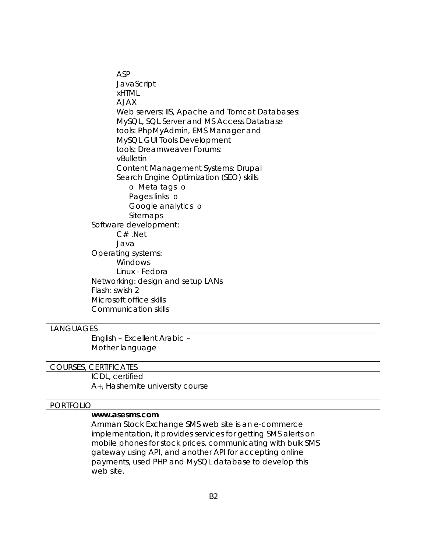ASP **JavaScript** xHTML AJAX Web servers: IIS, Apache and Tomcat Databases: MySQL, SQL Server and MS Access Database tools: PhpMyAdmin, EMS Manager and MySQL GUI Tools Development tools: Dreamweaver Forums: vBulletin Content Management Systems: Drupal Search Engine Optimization (SEO) skills o Meta tags o Pages links o Google analytics o Sitemaps Software development: C# .Net Java Operating systems: **Windows** Linux - Fedora Networking: design and setup LANs Flash: swish 2 Microsoft office skills Communication skills

#### LANGUAGES

English – Excellent Arabic – Mother language

#### COURSES, CERTIFICATES

ICDL, certified A+, Hashemite university course

#### PORTFOLIO

#### **www.asesms.com**

Amman Stock Exchange SMS web site is an e-commerce implementation, it provides services for getting SMS alerts on mobile phones for stock prices, communicating with bulk SMS gateway using API, and another API for accepting online payments, used PHP and MySQL database to develop this web site.